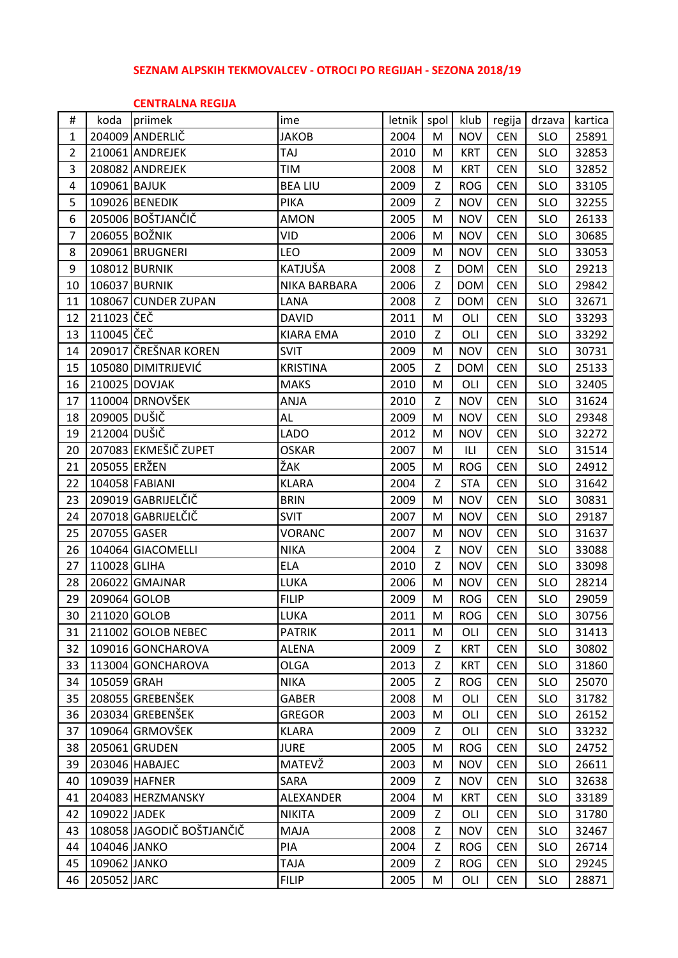## **SEZNAM ALPSKIH TEKMOVALCEV - OTROCI PO REGIJAH - SEZONA 2018/19**

## **CENTRALNA REGIJA**

| #              | koda         | priimek                   | ime              | letnik | spol | klub       | regija     | drzava     | kartica |
|----------------|--------------|---------------------------|------------------|--------|------|------------|------------|------------|---------|
| $\mathbf{1}$   |              | 204009 ANDERLIČ           | <b>JAKOB</b>     | 2004   | M    | <b>NOV</b> | <b>CEN</b> | <b>SLO</b> | 25891   |
| $\overline{2}$ |              | 210061 ANDREJEK           | TAJ              | 2010   | M    | <b>KRT</b> | <b>CEN</b> | <b>SLO</b> | 32853   |
| 3              |              | 208082 ANDREJEK           | TIM              | 2008   | M    | <b>KRT</b> | <b>CEN</b> | <b>SLO</b> | 32852   |
| 4              | 109061 BAJUK |                           | <b>BEA LIU</b>   | 2009   | Z    | <b>ROG</b> | <b>CEN</b> | <b>SLO</b> | 33105   |
| 5              |              | 109026 BENEDIK            | <b>PIKA</b>      | 2009   | Z    | <b>NOV</b> | <b>CEN</b> | <b>SLO</b> | 32255   |
| 6              |              | 205006 BOŠTJANČIČ         | <b>AMON</b>      | 2005   | M    | <b>NOV</b> | <b>CEN</b> | <b>SLO</b> | 26133   |
| 7              |              | 206055 BOŽNIK             | VID              | 2006   | M    | <b>NOV</b> | <b>CEN</b> | <b>SLO</b> | 30685   |
| 8              |              | 209061 BRUGNERI           | LEO              | 2009   | M    | <b>NOV</b> | <b>CEN</b> | <b>SLO</b> | 33053   |
| 9              |              | 108012 BURNIK             | KATJUŠA          | 2008   | Z    | <b>DOM</b> | <b>CEN</b> | <b>SLO</b> | 29213   |
| 10             |              | 106037 BURNIK             | NIKA BARBARA     | 2006   | Z    | <b>DOM</b> | <b>CEN</b> | <b>SLO</b> | 29842   |
| 11             |              | 108067 CUNDER ZUPAN       | LANA             | 2008   | Z    | <b>DOM</b> | <b>CEN</b> | <b>SLO</b> | 32671   |
| 12             | 211023 ČEČ   |                           | <b>DAVID</b>     | 2011   | M    | OLI        | <b>CEN</b> | <b>SLO</b> | 33293   |
| 13             | 110045 ČEČ   |                           | <b>KIARA EMA</b> | 2010   | Z    | OLI        | <b>CEN</b> | <b>SLO</b> | 33292   |
| 14             |              | 209017 ČREŠNAR KOREN      | <b>SVIT</b>      | 2009   | M    | <b>NOV</b> | <b>CEN</b> | <b>SLO</b> | 30731   |
| 15             |              | 105080 DIMITRIJEVIĆ       | <b>KRISTINA</b>  | 2005   | Z    | <b>DOM</b> | <b>CEN</b> | <b>SLO</b> | 25133   |
| 16             |              | 210025 DOVJAK             | <b>MAKS</b>      | 2010   | M    | OLI        | <b>CEN</b> | <b>SLO</b> | 32405   |
| 17             |              | 110004 DRNOVŠEK           | ANJA             | 2010   | Z    | <b>NOV</b> | <b>CEN</b> | <b>SLO</b> | 31624   |
| 18             | 209005 DUŠIČ |                           | AL               | 2009   | M    | <b>NOV</b> | <b>CEN</b> | <b>SLO</b> | 29348   |
| 19             | 212004 DUŠIČ |                           | <b>LADO</b>      | 2012   | M    | <b>NOV</b> | <b>CEN</b> | <b>SLO</b> | 32272   |
| 20             |              | 207083 EKMEŠIČ ZUPET      | <b>OSKAR</b>     | 2007   | M    | ILI        | <b>CEN</b> | <b>SLO</b> | 31514   |
| 21             | 205055 ERŽEN |                           | ŽAK              | 2005   | M    | <b>ROG</b> | <b>CEN</b> | <b>SLO</b> | 24912   |
| 22             |              | 104058 FABIANI            | <b>KLARA</b>     | 2004   | Z    | <b>STA</b> | <b>CEN</b> | <b>SLO</b> | 31642   |
| 23             |              | 209019 GABRIJELČIČ        | <b>BRIN</b>      | 2009   | M    | <b>NOV</b> | <b>CEN</b> | <b>SLO</b> | 30831   |
| 24             |              | 207018 GABRIJELČIČ        | <b>SVIT</b>      | 2007   | M    | <b>NOV</b> | <b>CEN</b> | <b>SLO</b> | 29187   |
| 25             | 207055 GASER |                           | <b>VORANC</b>    | 2007   | M    | <b>NOV</b> | <b>CEN</b> | <b>SLO</b> | 31637   |
| 26             |              | 104064 GIACOMELLI         | <b>NIKA</b>      | 2004   | Z    | <b>NOV</b> | <b>CEN</b> | <b>SLO</b> | 33088   |
| 27             | 110028 GLIHA |                           | <b>ELA</b>       | 2010   | Z    | <b>NOV</b> | <b>CEN</b> | <b>SLO</b> | 33098   |
| 28             |              | 206022 GMAJNAR            | LUKA             | 2006   | M    | <b>NOV</b> | <b>CEN</b> | <b>SLO</b> | 28214   |
| 29             | 209064 GOLOB |                           | <b>FILIP</b>     | 2009   | M    | <b>ROG</b> | <b>CEN</b> | <b>SLO</b> | 29059   |
| 30             | 211020 GOLOB |                           | LUKA             | 2011   | M    | <b>ROG</b> | <b>CEN</b> | <b>SLO</b> | 30756   |
| 31             |              | 211002 GOLOB NEBEC        | <b>PATRIK</b>    | 2011   | M    | OLI        | <b>CEN</b> | <b>SLO</b> | 31413   |
| 32             |              | 109016 GONCHAROVA         | <b>ALENA</b>     | 2009   | Z    | <b>KRT</b> | <b>CEN</b> | <b>SLO</b> | 30802   |
| 33             |              | 113004 GONCHAROVA         | <b>OLGA</b>      | 2013   | Z    | <b>KRT</b> | <b>CEN</b> | <b>SLO</b> | 31860   |
| 34             | 105059 GRAH  |                           | <b>NIKA</b>      | 2005   | Z    | <b>ROG</b> | <b>CEN</b> | <b>SLO</b> | 25070   |
| 35             |              | 208055 GREBENŠEK          | <b>GABER</b>     | 2008   | M    | OLI        | <b>CEN</b> | <b>SLO</b> | 31782   |
| 36             |              | 203034 GREBENŠEK          | <b>GREGOR</b>    | 2003   | M    | OLI        | <b>CEN</b> | <b>SLO</b> | 26152   |
| 37             |              | 109064 GRMOVŠEK           | <b>KLARA</b>     | 2009   | Z    | OLI        | <b>CEN</b> | <b>SLO</b> | 33232   |
| 38             |              | 205061 GRUDEN             | <b>JURE</b>      | 2005   | M    | <b>ROG</b> | <b>CEN</b> | <b>SLO</b> | 24752   |
| 39             |              | 203046 HABAJEC            | MATEVŽ           | 2003   | M    | <b>NOV</b> | <b>CEN</b> | <b>SLO</b> | 26611   |
| 40             |              | 109039 HAFNER             | SARA             | 2009   | Z    | <b>NOV</b> | <b>CEN</b> | <b>SLO</b> | 32638   |
| 41             |              | 204083 HERZMANSKY         | ALEXANDER        | 2004   | M    | <b>KRT</b> | <b>CEN</b> | <b>SLO</b> | 33189   |
| 42             | 109022 JADEK |                           | <b>NIKITA</b>    | 2009   | Z    | OLI        | <b>CEN</b> | <b>SLO</b> | 31780   |
| 43             |              | 108058 JAGODIČ BOŠTJANČIČ | MAJA             | 2008   | Z    | <b>NOV</b> | <b>CEN</b> | <b>SLO</b> | 32467   |
| 44             | 104046 JANKO |                           | PIA              | 2004   | Z    | <b>ROG</b> | <b>CEN</b> | <b>SLO</b> | 26714   |
| 45             | 109062 JANKO |                           | <b>TAJA</b>      | 2009   | Z    | <b>ROG</b> | <b>CEN</b> | <b>SLO</b> | 29245   |
| 46             | 205052 JARC  |                           | <b>FILIP</b>     | 2005   | M    | OLI        | <b>CEN</b> | <b>SLO</b> | 28871   |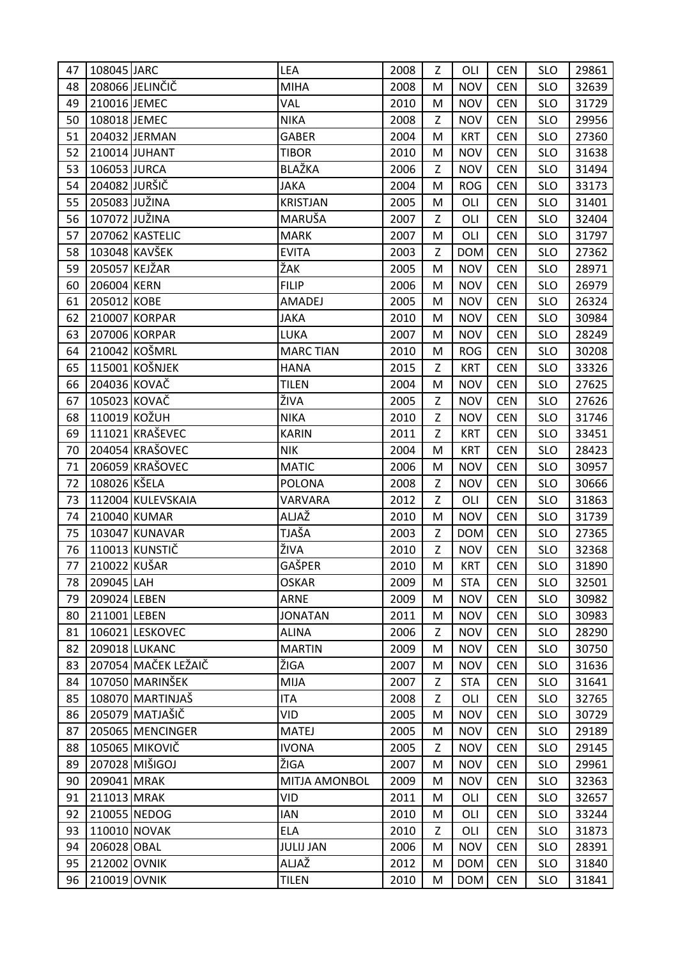| 47 | 108045 JARC   |                     | LEA              | 2008 | Z | OLI        | <b>CEN</b> | <b>SLO</b> | 29861 |
|----|---------------|---------------------|------------------|------|---|------------|------------|------------|-------|
| 48 |               | 208066 JELINČIČ     | <b>MIHA</b>      | 2008 | M | <b>NOV</b> | <b>CEN</b> | <b>SLO</b> | 32639 |
| 49 | 210016 JEMEC  |                     | VAL              | 2010 | M | <b>NOV</b> | <b>CEN</b> | <b>SLO</b> | 31729 |
| 50 | 108018 JEMEC  |                     | <b>NIKA</b>      | 2008 | Z | <b>NOV</b> | <b>CEN</b> | <b>SLO</b> | 29956 |
| 51 |               | 204032 JERMAN       | <b>GABER</b>     | 2004 | M | <b>KRT</b> | <b>CEN</b> | <b>SLO</b> | 27360 |
| 52 |               | 210014 JUHANT       | <b>TIBOR</b>     | 2010 | M | <b>NOV</b> | <b>CEN</b> | <b>SLO</b> | 31638 |
| 53 | 106053 JURCA  |                     | <b>BLAŽKA</b>    | 2006 | Z | <b>NOV</b> | <b>CEN</b> | <b>SLO</b> | 31494 |
| 54 | 204082 JURŠIČ |                     | <b>JAKA</b>      | 2004 | M | <b>ROG</b> | <b>CEN</b> | <b>SLO</b> | 33173 |
| 55 | 205083 JUŽINA |                     | <b>KRISTJAN</b>  | 2005 | M | OLI        | <b>CEN</b> | <b>SLO</b> | 31401 |
| 56 | 107072 JUŽINA |                     | MARUŠA           | 2007 | Z | OLI        | <b>CEN</b> | <b>SLO</b> | 32404 |
| 57 |               | 207062 KASTELIC     | <b>MARK</b>      | 2007 | M | OLI        | <b>CEN</b> | <b>SLO</b> | 31797 |
| 58 |               | 103048 KAVŠEK       | <b>EVITA</b>     | 2003 | Z | <b>DOM</b> | <b>CEN</b> | <b>SLO</b> | 27362 |
| 59 | 205057 KEJŽAR |                     | ŽAK              | 2005 | M | <b>NOV</b> | <b>CEN</b> | <b>SLO</b> | 28971 |
| 60 | 206004 KERN   |                     | <b>FILIP</b>     | 2006 | M | <b>NOV</b> | <b>CEN</b> | <b>SLO</b> | 26979 |
| 61 | 205012 KOBE   |                     | <b>AMADEJ</b>    | 2005 | M | <b>NOV</b> | <b>CEN</b> | <b>SLO</b> | 26324 |
| 62 |               | 210007 KORPAR       | <b>JAKA</b>      | 2010 | M | <b>NOV</b> | <b>CEN</b> | <b>SLO</b> | 30984 |
| 63 |               | 207006 KORPAR       | LUKA             | 2007 | M | <b>NOV</b> | <b>CEN</b> | <b>SLO</b> | 28249 |
| 64 |               | 210042 KOŠMRL       | <b>MARC TIAN</b> | 2010 | M | <b>ROG</b> | <b>CEN</b> | <b>SLO</b> | 30208 |
| 65 |               | 115001 KOŠNJEK      | <b>HANA</b>      | 2015 | Z | <b>KRT</b> | <b>CEN</b> | <b>SLO</b> | 33326 |
| 66 | 204036 KOVAČ  |                     | <b>TILEN</b>     | 2004 | M | <b>NOV</b> | <b>CEN</b> | <b>SLO</b> | 27625 |
| 67 | 105023 KOVAČ  |                     | ŽIVA             | 2005 | Z | <b>NOV</b> | <b>CEN</b> | <b>SLO</b> | 27626 |
| 68 | 110019 KOŽUH  |                     | <b>NIKA</b>      | 2010 | Z | <b>NOV</b> | <b>CEN</b> | <b>SLO</b> | 31746 |
| 69 |               | 111021 KRAŠEVEC     | <b>KARIN</b>     | 2011 | Z | <b>KRT</b> | <b>CEN</b> | <b>SLO</b> | 33451 |
| 70 |               | 204054 KRAŠOVEC     | <b>NIK</b>       | 2004 | M | <b>KRT</b> | <b>CEN</b> | <b>SLO</b> | 28423 |
| 71 |               | 206059 KRAŠOVEC     | <b>MATIC</b>     | 2006 | M | <b>NOV</b> | <b>CEN</b> | <b>SLO</b> | 30957 |
| 72 | 108026 KŠELA  |                     | <b>POLONA</b>    | 2008 | Z | <b>NOV</b> | <b>CEN</b> | <b>SLO</b> | 30666 |
| 73 |               | 112004 KULEVSKAIA   | VARVARA          | 2012 | Z | OLI        | <b>CEN</b> | <b>SLO</b> | 31863 |
| 74 |               | 210040 KUMAR        | ALJAŽ            | 2010 | M | <b>NOV</b> | <b>CEN</b> | <b>SLO</b> | 31739 |
| 75 |               | 103047 KUNAVAR      | TJAŠA            | 2003 | Z | <b>DOM</b> | <b>CEN</b> | <b>SLO</b> | 27365 |
| 76 |               | 110013 KUNSTIČ      | ŽIVA             | 2010 | Z | <b>NOV</b> | <b>CEN</b> | <b>SLO</b> | 32368 |
| 77 | 210022 KUŠAR  |                     | GAŠPER           | 2010 | M | <b>KRT</b> | <b>CEN</b> | <b>SLO</b> | 31890 |
| 78 | 209045 LAH    |                     | <b>OSKAR</b>     | 2009 | M | <b>STA</b> | <b>CEN</b> | <b>SLO</b> | 32501 |
| 79 | 209024 LEBEN  |                     | <b>ARNE</b>      | 2009 | M | <b>NOV</b> | <b>CEN</b> | <b>SLO</b> | 30982 |
| 80 | 211001 LEBEN  |                     | <b>JONATAN</b>   | 2011 | M | <b>NOV</b> | <b>CEN</b> | <b>SLO</b> | 30983 |
| 81 |               | 106021 LESKOVEC     | <b>ALINA</b>     | 2006 | Z | <b>NOV</b> | <b>CEN</b> | <b>SLO</b> | 28290 |
| 82 |               | 209018 LUKANC       | <b>MARTIN</b>    | 2009 | M | <b>NOV</b> | <b>CEN</b> | <b>SLO</b> | 30750 |
| 83 |               | 207054 MAČEK LEŽAIČ | ŽIGA             | 2007 | M | <b>NOV</b> | <b>CEN</b> | <b>SLO</b> | 31636 |
| 84 |               | 107050 MARINŠEK     | <b>MIJA</b>      | 2007 | Z | <b>STA</b> | <b>CEN</b> | <b>SLO</b> | 31641 |
| 85 |               | 108070 MARTINJAŠ    | <b>ITA</b>       | 2008 | Z | OLI        | <b>CEN</b> | <b>SLO</b> | 32765 |
| 86 |               | 205079 MATJAŠIČ     | <b>VID</b>       | 2005 | M | <b>NOV</b> | <b>CEN</b> | <b>SLO</b> | 30729 |
| 87 |               | 205065 MENCINGER    | <b>MATEJ</b>     | 2005 | M | <b>NOV</b> | <b>CEN</b> | <b>SLO</b> | 29189 |
| 88 |               | 105065 MIKOVIČ      | <b>IVONA</b>     | 2005 | Z | <b>NOV</b> | <b>CEN</b> | <b>SLO</b> | 29145 |
| 89 |               | 207028 MIŠIGOJ      | ŽIGA             | 2007 | M | <b>NOV</b> | <b>CEN</b> | <b>SLO</b> | 29961 |
| 90 | 209041 MRAK   |                     | MITJA AMONBOL    | 2009 | M | <b>NOV</b> | <b>CEN</b> | <b>SLO</b> | 32363 |
| 91 | 211013 MRAK   |                     | <b>VID</b>       | 2011 | M | OLI        | <b>CEN</b> | <b>SLO</b> | 32657 |
| 92 |               | 210055 NEDOG        | IAN              | 2010 | M | OLI        | <b>CEN</b> | <b>SLO</b> | 33244 |
| 93 | 110010 NOVAK  |                     | <b>ELA</b>       | 2010 | Z | OLI        | <b>CEN</b> | <b>SLO</b> | 31873 |
| 94 | 206028 OBAL   |                     | <b>JULIJ JAN</b> | 2006 | M | <b>NOV</b> | <b>CEN</b> | <b>SLO</b> | 28391 |
| 95 | 212002 OVNIK  |                     | ALJAŽ            | 2012 | M | <b>DOM</b> | <b>CEN</b> | <b>SLO</b> | 31840 |
| 96 |               | 210019 OVNIK        | <b>TILEN</b>     | 2010 | M | <b>DOM</b> | <b>CEN</b> | <b>SLO</b> | 31841 |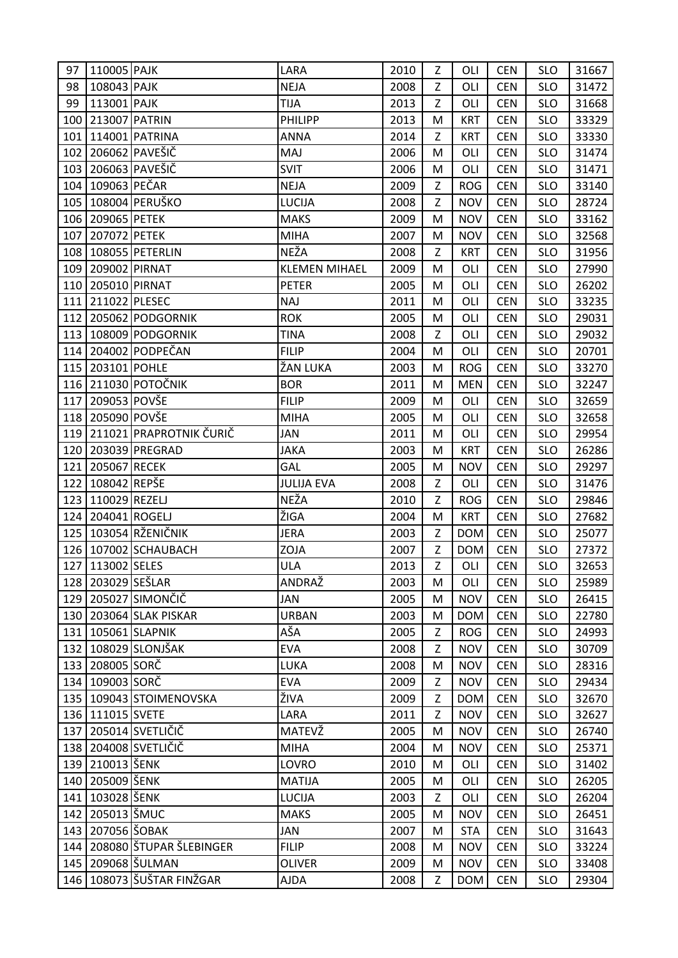| 97  | 110005 PAJK         |                               | LARA                 | 2010 | Z | OLI        | <b>CEN</b> | <b>SLO</b> | 31667 |
|-----|---------------------|-------------------------------|----------------------|------|---|------------|------------|------------|-------|
| 98  | 108043 PAJK         |                               | <b>NEJA</b>          | 2008 | Z | OLI        | <b>CEN</b> | <b>SLO</b> | 31472 |
| 99  | 113001 PAJK         |                               | <b>TIJA</b>          | 2013 | Z | OLI        | <b>CEN</b> | <b>SLO</b> | 31668 |
| 100 | 213007 PATRIN       |                               | <b>PHILIPP</b>       | 2013 | M | <b>KRT</b> | <b>CEN</b> | <b>SLO</b> | 33329 |
| 101 |                     | 114001 PATRINA                | <b>ANNA</b>          | 2014 | Z | <b>KRT</b> | <b>CEN</b> | <b>SLO</b> | 33330 |
| 102 |                     | 206062 PAVEŠIČ                | MAJ                  | 2006 | M | OLI        | <b>CEN</b> | <b>SLO</b> | 31474 |
| 103 |                     | 206063 PAVEŠIČ                | <b>SVIT</b>          | 2006 | M | OLI        | <b>CEN</b> | <b>SLO</b> | 31471 |
| 104 | 109063 PEČAR        |                               | <b>NEJA</b>          | 2009 | Z | <b>ROG</b> | <b>CEN</b> | <b>SLO</b> | 33140 |
|     |                     | 105   108004   PERUŠKO        | <b>LUCIJA</b>        | 2008 | Z | <b>NOV</b> | <b>CEN</b> | <b>SLO</b> | 28724 |
|     | 106 209065 PETEK    |                               | <b>MAKS</b>          | 2009 | M | <b>NOV</b> | <b>CEN</b> | <b>SLO</b> | 33162 |
| 107 | 207072 PETEK        |                               | <b>MIHA</b>          | 2007 | M | <b>NOV</b> | <b>CEN</b> | <b>SLO</b> | 32568 |
|     |                     | 108   108055   PETERLIN       | NEŽA                 | 2008 | Z | <b>KRT</b> | <b>CEN</b> | <b>SLO</b> | 31956 |
|     | 109 209002 PIRNAT   |                               | <b>KLEMEN MIHAEL</b> | 2009 | M | OLI        | <b>CEN</b> | <b>SLO</b> | 27990 |
|     | 110 205010 PIRNAT   |                               | <b>PETER</b>         | 2005 | M | OLI        | <b>CEN</b> | <b>SLO</b> | 26202 |
|     | 111 211022 PLESEC   |                               | <b>NAJ</b>           | 2011 | M | OLI        | <b>CEN</b> | <b>SLO</b> | 33235 |
|     |                     | 112 205062 PODGORNIK          | <b>ROK</b>           | 2005 | M | OLI        | <b>CEN</b> | <b>SLO</b> | 29031 |
|     |                     | 113   108009   PODGORNIK      | <b>TINA</b>          | 2008 | Z | OLI        | <b>CEN</b> | <b>SLO</b> | 29032 |
|     |                     | 114 204002 PODPEČAN           | <b>FILIP</b>         | 2004 | M | OLI        | <b>CEN</b> | <b>SLO</b> | 20701 |
|     | 115 203101 POHLE    |                               | ŽAN LUKA             | 2003 | M | <b>ROG</b> | <b>CEN</b> | <b>SLO</b> | 33270 |
|     |                     | 116 211030 POTOČNIK           | <b>BOR</b>           | 2011 | M | <b>MEN</b> | <b>CEN</b> | <b>SLO</b> | 32247 |
| 117 | 209053 POVŠE        |                               | <b>FILIP</b>         | 2009 | M | OLI        | <b>CEN</b> | <b>SLO</b> | 32659 |
|     | 118 205090 POVŠE    |                               | <b>MIHA</b>          | 2005 | M | OLI        | <b>CEN</b> | <b>SLO</b> | 32658 |
|     |                     | 119 211021 PRAPROTNIK ČURIČ   | <b>JAN</b>           | 2011 | M | OLI        | <b>CEN</b> | <b>SLO</b> | 29954 |
|     |                     | 120 203039 PREGRAD            | <b>JAKA</b>          | 2003 | M | <b>KRT</b> | <b>CEN</b> | <b>SLO</b> | 26286 |
|     | 121 205067 RECEK    |                               | GAL                  | 2005 | M | <b>NOV</b> | <b>CEN</b> | <b>SLO</b> | 29297 |
| 122 | 108042 REPŠE        |                               | <b>JULIJA EVA</b>    | 2008 | Z | OLI        | <b>CEN</b> | <b>SLO</b> | 31476 |
| 123 | 110029 REZELJ       |                               | NEŽA                 | 2010 | Z | <b>ROG</b> | <b>CEN</b> | <b>SLO</b> | 29846 |
|     | 124 204041 ROGELJ   |                               | ŽIGA                 | 2004 | M | <b>KRT</b> | <b>CEN</b> | <b>SLO</b> | 27682 |
|     |                     | 125 103054 RŽENIČNIK          | <b>JERA</b>          | 2003 | Z | <b>DOM</b> | <b>CEN</b> | <b>SLO</b> | 25077 |
|     |                     | 126 107002 SCHAUBACH          | ZOJA                 | 2007 | Z | <b>DOM</b> | <b>CEN</b> | <b>SLO</b> | 27372 |
|     | 127 113002 SELES    |                               | <b>ULA</b>           | 2013 | Z | OLI        | <b>CEN</b> | <b>SLO</b> | 32653 |
|     | 128 203029 SEŠLAR   |                               | ANDRAŽ               | 2003 | M | OLI        | <b>CEN</b> | <b>SLO</b> | 25989 |
|     |                     | 129 205027 SIMONČIČ           | JAN                  | 2005 | M | <b>NOV</b> | <b>CEN</b> | <b>SLO</b> | 26415 |
|     |                     | 130 203064 SLAK PISKAR        | <b>URBAN</b>         | 2003 | M | <b>DOM</b> | <b>CEN</b> | <b>SLO</b> | 22780 |
|     |                     | 131 105061 SLAPNIK            | AŠA                  | 2005 | Z | <b>ROG</b> | <b>CEN</b> | <b>SLO</b> | 24993 |
| 132 |                     | 108029 SLONJŠAK               | <b>EVA</b>           | 2008 | Z | <b>NOV</b> | <b>CEN</b> | <b>SLO</b> | 30709 |
|     | 133 208005 SORČ     |                               | LUKA                 | 2008 | M | <b>NOV</b> | <b>CEN</b> | <b>SLO</b> | 28316 |
|     | 134 109003 SORČ     |                               | <b>EVA</b>           | 2009 | Z | <b>NOV</b> | <b>CEN</b> | <b>SLO</b> | 29434 |
|     |                     | 135   109043   STOIMENOVSKA   | ŽIVA                 | 2009 | Z | <b>DOM</b> | <b>CEN</b> | <b>SLO</b> | 32670 |
|     | 136 111015 SVETE    |                               | LARA                 | 2011 | Z | <b>NOV</b> | <b>CEN</b> | <b>SLO</b> | 32627 |
| 137 |                     | 205014 SVETLIČIČ              | MATEVŽ               | 2005 | M | <b>NOV</b> | <b>CEN</b> | <b>SLO</b> | 26740 |
|     |                     | 138 204008 SVETLIČIČ          | <b>MIHA</b>          | 2004 | M | <b>NOV</b> | <b>CEN</b> | <b>SLO</b> | 25371 |
|     | 139 210013 ŠENK     |                               | LOVRO                | 2010 | M | OLI        | <b>CEN</b> | <b>SLO</b> | 31402 |
|     | 140   205009   ŠENK |                               | <b>MATIJA</b>        | 2005 | M | OLI        | <b>CEN</b> | <b>SLO</b> | 26205 |
|     | 141   103028 SENK   |                               | <b>LUCIJA</b>        | 2003 | Z | OLI        | <b>CEN</b> | <b>SLO</b> | 26204 |
|     | 142 205013 ŠMUC     |                               | <b>MAKS</b>          | 2005 | M | <b>NOV</b> | <b>CEN</b> | <b>SLO</b> | 26451 |
|     | 143 207056 ŠOBAK    |                               | JAN                  | 2007 | M | <b>STA</b> | <b>CEN</b> | <b>SLO</b> | 31643 |
| 144 |                     | 208080 ŠTUPAR ŠLEBINGER       | <b>FILIP</b>         | 2008 | M | <b>NOV</b> | <b>CEN</b> | <b>SLO</b> | 33224 |
|     |                     | 145 209068 ŠULMAN             | <b>OLIVER</b>        | 2009 | M | <b>NOV</b> | <b>CEN</b> | <b>SLO</b> | 33408 |
|     |                     | 146   108073   ŠUŠTAR FINŽGAR | <b>AJDA</b>          | 2008 | Z | <b>DOM</b> | <b>CEN</b> | <b>SLO</b> | 29304 |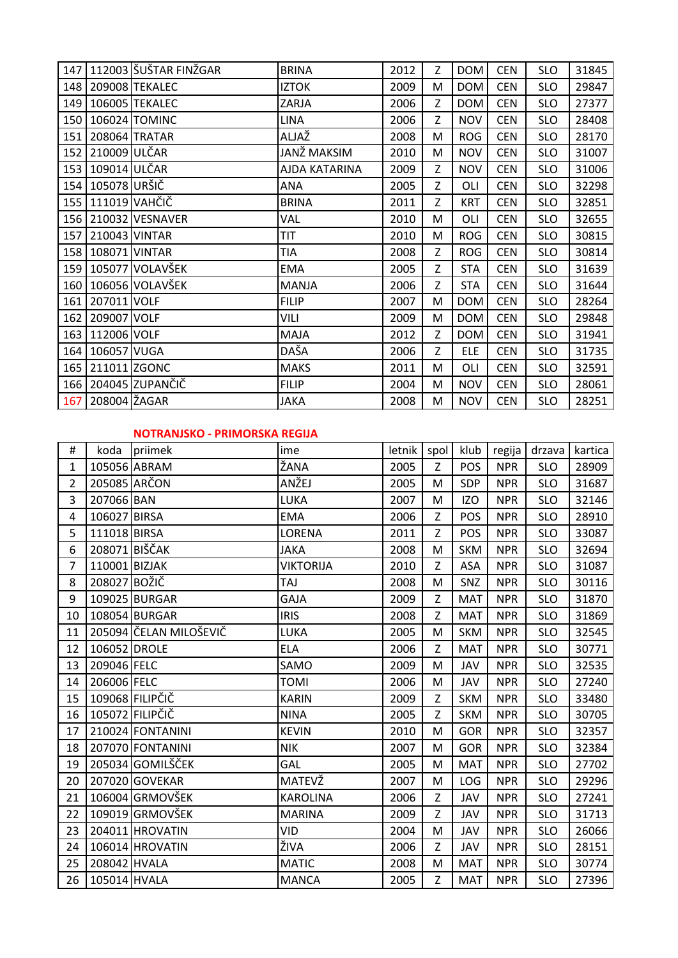| 147 |                     | 112003 ŠUŠTAR FINŽGAR | <b>BRINA</b>  | 2012 | Z | <b>DOM</b> | <b>CEN</b> | <b>SLO</b> | 31845 |
|-----|---------------------|-----------------------|---------------|------|---|------------|------------|------------|-------|
|     |                     | 148 209008 TEKALEC    | <b>IZTOK</b>  | 2009 | M | <b>DOM</b> | <b>CEN</b> | <b>SLO</b> | 29847 |
| 149 |                     | 106005 TEKALEC        | ZARJA         | 2006 | Z | <b>DOM</b> | <b>CEN</b> | <b>SLO</b> | 27377 |
| 150 |                     | 106024 TOMINC         | <b>LINA</b>   | 2006 | Z | <b>NOV</b> | <b>CEN</b> | <b>SLO</b> | 28408 |
| 151 |                     | 208064 TRATAR         | ALJAŽ         | 2008 | M | <b>ROG</b> | <b>CEN</b> | <b>SLO</b> | 28170 |
|     | 152 210009 ULČAR    |                       | JANŽ MAKSIM   | 2010 | M | <b>NOV</b> | <b>CEN</b> | <b>SLO</b> | 31007 |
| 153 | 109014 ULČAR        |                       | AJDA KATARINA | 2009 | Z | <b>NOV</b> | <b>CEN</b> | <b>SLO</b> | 31006 |
| 154 | 105078 URŠIČ        |                       | ANA           | 2005 | Z | OLI        | <b>CEN</b> | <b>SLO</b> | 32298 |
|     | 155 111019 VAHČIČ   |                       | <b>BRINA</b>  | 2011 | Z | <b>KRT</b> | <b>CEN</b> | <b>SLO</b> | 32851 |
|     |                     | 156 210032 VESNAVER   | VAL           | 2010 | M | OLI        | <b>CEN</b> | <b>SLO</b> | 32655 |
|     | 157 210043 VINTAR   |                       | <b>TIT</b>    | 2010 | M | <b>ROG</b> | <b>CEN</b> | <b>SLO</b> | 30815 |
|     | 158   108071 VINTAR |                       | TIA           | 2008 | Z | <b>ROG</b> | <b>CEN</b> | <b>SLO</b> | 30814 |
| 159 |                     | 105077 VOLAVŠEK       | <b>EMA</b>    | 2005 | Z | <b>STA</b> | <b>CEN</b> | <b>SLO</b> | 31639 |
| 160 |                     | 106056 VOLAVŠEK       | <b>MANJA</b>  | 2006 | Z | <b>STA</b> | <b>CEN</b> | <b>SLO</b> | 31644 |
|     | 161 207011 VOLF     |                       | <b>FILIP</b>  | 2007 | M | <b>DOM</b> | <b>CEN</b> | <b>SLO</b> | 28264 |
|     | 162 209007 VOLF     |                       | VILI          | 2009 | M | <b>DOM</b> | <b>CEN</b> | <b>SLO</b> | 29848 |
| 163 | 112006 VOLF         |                       | MAJA          | 2012 | Z | <b>DOM</b> | <b>CEN</b> | <b>SLO</b> | 31941 |
| 164 | 106057 VUGA         |                       | DAŠA          | 2006 | Z | <b>ELE</b> | <b>CEN</b> | <b>SLO</b> | 31735 |
|     | 165 211011 ZGONC    |                       | <b>MAKS</b>   | 2011 | M | OLI        | <b>CEN</b> | <b>SLO</b> | 32591 |
|     |                     | 166 204045 ZUPANČIČ   | <b>FILIP</b>  | 2004 | M | <b>NOV</b> | <b>CEN</b> | <b>SLO</b> | 28061 |
|     | 167   208004 ŽAGAR  |                       | <b>JAKA</b>   | 2008 | M | <b>NOV</b> | <b>CEN</b> | <b>SLO</b> | 28251 |

## **NOTRANJSKO - PRIMORSKA REGIJA**

| #              |               | koda priimek           | ime              | letnik   spol |   | klub       | regija     | drzava     | kartica |
|----------------|---------------|------------------------|------------------|---------------|---|------------|------------|------------|---------|
| 1              |               | 105056 ABRAM           | ŽANA             | 2005          | Z | <b>POS</b> | <b>NPR</b> | <b>SLO</b> | 28909   |
| $\overline{2}$ |               | 205085 ARCON           | ANŽEJ            | 2005          | M | SDP        | <b>NPR</b> | <b>SLO</b> | 31687   |
| 3              | 207066 BAN    |                        | LUKA             | 2007          | M | <b>IZO</b> | <b>NPR</b> | <b>SLO</b> | 32146   |
| 4              | 106027 BIRSA  |                        | <b>EMA</b>       | 2006          | Z | <b>POS</b> | <b>NPR</b> | <b>SLO</b> | 28910   |
| 5              | 111018 BIRSA  |                        | LORENA           | 2011          | Z | POS        | <b>NPR</b> | <b>SLO</b> | 33087   |
| 6              | 208071 BIŠČAK |                        | <b>JAKA</b>      | 2008          | M | <b>SKM</b> | <b>NPR</b> | <b>SLO</b> | 32694   |
| $\overline{7}$ | 110001 BIZJAK |                        | <b>VIKTORIJA</b> | 2010          | Z | ASA        | <b>NPR</b> | <b>SLO</b> | 31087   |
| 8              | 208027 BOŽIČ  |                        | TAJ              | 2008          | M | SNZ        | <b>NPR</b> | <b>SLO</b> | 30116   |
| 9              |               | 109025 BURGAR          | <b>GAJA</b>      | 2009          | Z | <b>MAT</b> | <b>NPR</b> | <b>SLO</b> | 31870   |
| 10             |               | 108054 BURGAR          | <b>IRIS</b>      | 2008          | Z | <b>MAT</b> | <b>NPR</b> | <b>SLO</b> | 31869   |
| 11             |               | 205094 ČELAN MILOŠEVIČ | LUKA             | 2005          | M | <b>SKM</b> | <b>NPR</b> | <b>SLO</b> | 32545   |
| 12             | 106052 DROLE  |                        | <b>ELA</b>       | 2006          | Z | <b>MAT</b> | <b>NPR</b> | <b>SLO</b> | 30771   |
| 13             | 209046 FELC   |                        | SAMO             | 2009          | M | JAV        | <b>NPR</b> | <b>SLO</b> | 32535   |
| 14             | 206006 FELC   |                        | <b>TOMI</b>      | 2006          | M | <b>JAV</b> | <b>NPR</b> | <b>SLO</b> | 27240   |
| 15             |               | 109068 FILIPČIČ        | <b>KARIN</b>     | 2009          | Z | <b>SKM</b> | <b>NPR</b> | <b>SLO</b> | 33480   |
| 16             |               | 105072 FILIPČIČ        | <b>NINA</b>      | 2005          | Z | <b>SKM</b> | <b>NPR</b> | <b>SLO</b> | 30705   |
| 17             |               | 210024 FONTANINI       | <b>KEVIN</b>     | 2010          | M | <b>GOR</b> | <b>NPR</b> | <b>SLO</b> | 32357   |
| 18             |               | 207070 FONTANINI       | <b>NIK</b>       | 2007          | M | <b>GOR</b> | <b>NPR</b> | <b>SLO</b> | 32384   |
| 19             |               | 205034 GOMILŠČEK       | GAL              | 2005          | M | <b>MAT</b> | <b>NPR</b> | <b>SLO</b> | 27702   |
| 20             |               | 207020 GOVEKAR         | MATEVŽ           | 2007          | M | <b>LOG</b> | <b>NPR</b> | <b>SLO</b> | 29296   |
| 21             |               | 106004 GRMOVŠEK        | <b>KAROLINA</b>  | 2006          | Z | <b>JAV</b> | <b>NPR</b> | <b>SLO</b> | 27241   |
| 22             |               | 109019 GRMOVŠEK        | <b>MARINA</b>    | 2009          | Z | JAV        | <b>NPR</b> | <b>SLO</b> | 31713   |
| 23             |               | 204011 HROVATIN        | VID              | 2004          | M | JAV        | <b>NPR</b> | <b>SLO</b> | 26066   |
| 24             |               | 106014 HROVATIN        | ŽIVA             | 2006          | Z | JAV        | <b>NPR</b> | <b>SLO</b> | 28151   |
| 25             | 208042 HVALA  |                        | <b>MATIC</b>     | 2008          | M | <b>MAT</b> | <b>NPR</b> | <b>SLO</b> | 30774   |
| 26             | 105014 HVALA  |                        | <b>MANCA</b>     | 2005          | Z | <b>MAT</b> | <b>NPR</b> | <b>SLO</b> | 27396   |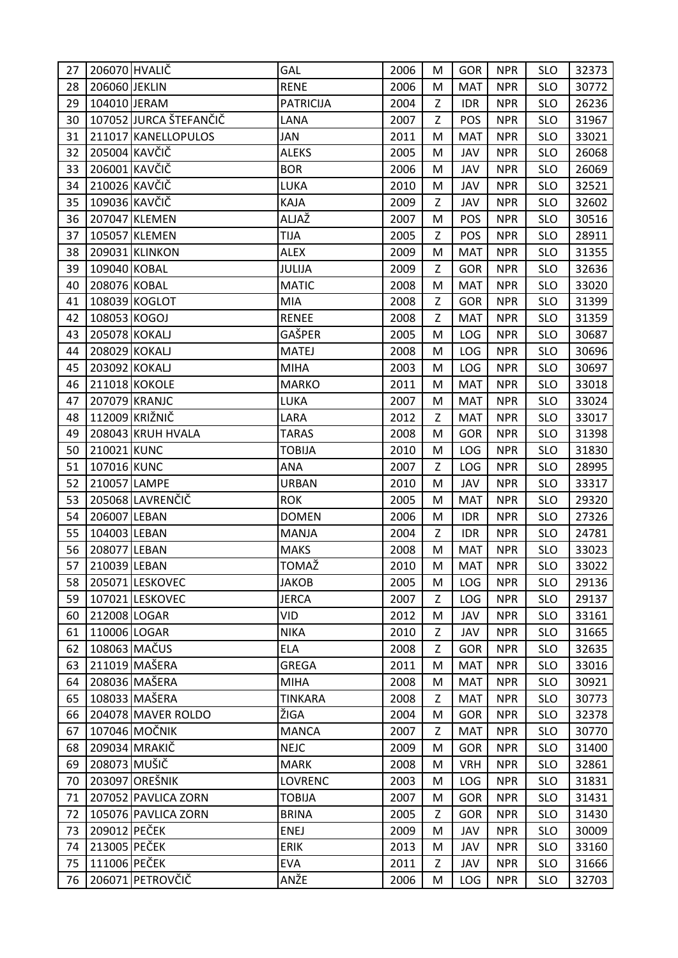| 27 | 206070 HVALIČ |                        | <b>GAL</b>       | 2006 | м | <b>GOR</b> | <b>NPR</b> | <b>SLO</b> | 32373 |
|----|---------------|------------------------|------------------|------|---|------------|------------|------------|-------|
| 28 | 206060 JEKLIN |                        | <b>RENE</b>      | 2006 | M | <b>MAT</b> | <b>NPR</b> | <b>SLO</b> | 30772 |
| 29 | 104010 JERAM  |                        | <b>PATRICIJA</b> | 2004 | Z | <b>IDR</b> | <b>NPR</b> | <b>SLO</b> | 26236 |
| 30 |               | 107052 JURCA ŠTEFANČIČ | LANA             | 2007 | Z | POS        | <b>NPR</b> | <b>SLO</b> | 31967 |
| 31 |               | 211017 KANELLOPULOS    | JAN              | 2011 | M | <b>MAT</b> | <b>NPR</b> | <b>SLO</b> | 33021 |
| 32 | 205004 KAVČIČ |                        | <b>ALEKS</b>     | 2005 | M | JAV        | <b>NPR</b> | <b>SLO</b> | 26068 |
| 33 | 206001 KAVČIČ |                        | <b>BOR</b>       | 2006 | M | JAV        | <b>NPR</b> | <b>SLO</b> | 26069 |
| 34 | 210026 KAVČIČ |                        | LUKA             | 2010 | M | JAV        | <b>NPR</b> | <b>SLO</b> | 32521 |
| 35 | 109036 KAVČIČ |                        | KAJA             | 2009 | Z | JAV        | <b>NPR</b> | <b>SLO</b> | 32602 |
| 36 |               | 207047 KLEMEN          | ALJAŽ            | 2007 | M | POS        | <b>NPR</b> | <b>SLO</b> | 30516 |
| 37 |               | 105057 KLEMEN          | <b>TIJA</b>      | 2005 | Z | POS        | <b>NPR</b> | <b>SLO</b> | 28911 |
| 38 |               | 209031 KLINKON         | <b>ALEX</b>      | 2009 | M | <b>MAT</b> | <b>NPR</b> | <b>SLO</b> | 31355 |
| 39 | 109040 KOBAL  |                        | <b>JULIJA</b>    | 2009 | Ζ | GOR        | <b>NPR</b> | <b>SLO</b> | 32636 |
| 40 | 208076 KOBAL  |                        | <b>MATIC</b>     | 2008 | M | <b>MAT</b> | <b>NPR</b> | <b>SLO</b> | 33020 |
| 41 |               | 108039 KOGLOT          | <b>MIA</b>       | 2008 | Z | <b>GOR</b> | <b>NPR</b> | <b>SLO</b> | 31399 |
| 42 | 108053 KOGOJ  |                        | <b>RENEE</b>     | 2008 | Z | <b>MAT</b> | <b>NPR</b> | <b>SLO</b> | 31359 |
| 43 | 205078 KOKALJ |                        | GAŠPER           | 2005 | M | <b>LOG</b> | <b>NPR</b> | <b>SLO</b> | 30687 |
| 44 | 208029 KOKALJ |                        | <b>MATEJ</b>     | 2008 | M | LOG        | <b>NPR</b> | <b>SLO</b> | 30696 |
| 45 | 203092 KOKALJ |                        | <b>MIHA</b>      | 2003 | M | LOG        | <b>NPR</b> | <b>SLO</b> | 30697 |
| 46 |               | 211018 KOKOLE          | <b>MARKO</b>     | 2011 | M | <b>MAT</b> | <b>NPR</b> | <b>SLO</b> | 33018 |
| 47 |               | 207079 KRANJC          | LUKA             | 2007 | M | <b>MAT</b> | <b>NPR</b> | <b>SLO</b> | 33024 |
| 48 |               | 112009 KRIŽNIČ         | LARA             | 2012 | Z | <b>MAT</b> | <b>NPR</b> | <b>SLO</b> | 33017 |
| 49 |               | 208043 KRUH HVALA      | <b>TARAS</b>     | 2008 | M | GOR        | <b>NPR</b> | <b>SLO</b> | 31398 |
| 50 | 210021 KUNC   |                        | <b>TOBIJA</b>    | 2010 | M | <b>LOG</b> | <b>NPR</b> | <b>SLO</b> | 31830 |
| 51 | 107016 KUNC   |                        | ANA              | 2007 | Z | LOG        | <b>NPR</b> | <b>SLO</b> | 28995 |
| 52 | 210057 LAMPE  |                        | <b>URBAN</b>     | 2010 | M | JAV        | <b>NPR</b> | <b>SLO</b> | 33317 |
| 53 |               | 205068 LAVRENČIČ       | <b>ROK</b>       | 2005 | M | <b>MAT</b> | <b>NPR</b> | <b>SLO</b> | 29320 |
| 54 | 206007 LEBAN  |                        | <b>DOMEN</b>     | 2006 | M | <b>IDR</b> | <b>NPR</b> | <b>SLO</b> | 27326 |
| 55 | 104003 LEBAN  |                        | MANJA            | 2004 | Z | <b>IDR</b> | <b>NPR</b> | <b>SLO</b> | 24781 |
| 56 | 208077 LEBAN  |                        | <b>MAKS</b>      | 2008 | M | <b>MAT</b> | <b>NPR</b> | <b>SLO</b> | 33023 |
| 57 | 210039 LEBAN  |                        | <b>TOMAŽ</b>     | 2010 | M | <b>MAT</b> | <b>NPR</b> | <b>SLO</b> | 33022 |
| 58 |               | 205071 LESKOVEC        | <b>JAKOB</b>     | 2005 | M | <b>LOG</b> | <b>NPR</b> | <b>SLO</b> | 29136 |
| 59 |               | 107021 LESKOVEC        | <b>JERCA</b>     | 2007 | Z | LOG        | <b>NPR</b> | <b>SLO</b> | 29137 |
| 60 | 212008 LOGAR  |                        | <b>VID</b>       | 2012 | M | JAV        | <b>NPR</b> | <b>SLO</b> | 33161 |
| 61 | 110006 LOGAR  |                        | <b>NIKA</b>      | 2010 | Z | JAV        | <b>NPR</b> | <b>SLO</b> | 31665 |
| 62 |               | 108063 MAČUS           | <b>ELA</b>       | 2008 | Z | GOR        | <b>NPR</b> | <b>SLO</b> | 32635 |
| 63 |               | 211019 MAŠERA          | <b>GREGA</b>     | 2011 | M | <b>MAT</b> | <b>NPR</b> | <b>SLO</b> | 33016 |
| 64 |               | 208036 MAŠERA          | <b>MIHA</b>      | 2008 | M | <b>MAT</b> | <b>NPR</b> | <b>SLO</b> | 30921 |
| 65 |               | 108033 MAŠERA          | <b>TINKARA</b>   | 2008 | Z | <b>MAT</b> | <b>NPR</b> | <b>SLO</b> | 30773 |
| 66 |               | 204078 MAVER ROLDO     | ŽIGA             | 2004 | M | <b>GOR</b> | <b>NPR</b> | <b>SLO</b> | 32378 |
| 67 |               | 107046 MOČNIK          | <b>MANCA</b>     | 2007 | Z | <b>MAT</b> | <b>NPR</b> | <b>SLO</b> | 30770 |
| 68 |               | 209034 MRAKIČ          | <b>NEJC</b>      | 2009 | M | GOR        | <b>NPR</b> | <b>SLO</b> | 31400 |
| 69 | 208073 MUŠIČ  |                        | <b>MARK</b>      | 2008 | M | <b>VRH</b> | <b>NPR</b> | <b>SLO</b> | 32861 |
| 70 |               | 203097 OREŠNIK         | <b>LOVRENC</b>   | 2003 | M | <b>LOG</b> | <b>NPR</b> | <b>SLO</b> | 31831 |
| 71 |               | 207052 PAVLICA ZORN    | <b>TOBIJA</b>    | 2007 | M | <b>GOR</b> | <b>NPR</b> | <b>SLO</b> | 31431 |
| 72 |               | 105076 PAVLICA ZORN    | <b>BRINA</b>     | 2005 | Z | GOR        | <b>NPR</b> | <b>SLO</b> | 31430 |
| 73 | 209012 PEČEK  |                        | <b>ENEJ</b>      | 2009 | M | JAV        | <b>NPR</b> | <b>SLO</b> | 30009 |
| 74 | 213005 PEČEK  |                        | <b>ERIK</b>      | 2013 | M | JAV        | <b>NPR</b> | <b>SLO</b> | 33160 |
| 75 | 111006 PEČEK  |                        | <b>EVA</b>       | 2011 | Z | JAV        | <b>NPR</b> | <b>SLO</b> | 31666 |
| 76 |               | 206071 PETROVČIČ       | ANŽE             | 2006 | M | LOG        | <b>NPR</b> | <b>SLO</b> | 32703 |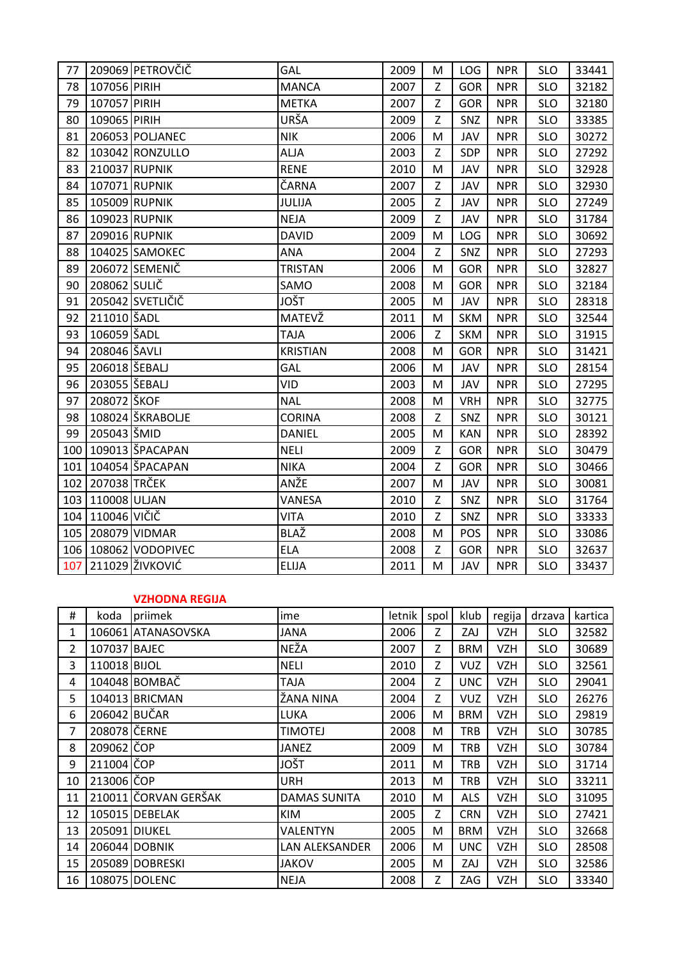| 77  |                  | 209069 PETROVČIČ         | GAL             | 2009 | M | <b>LOG</b> | <b>NPR</b> | <b>SLO</b> | 33441 |
|-----|------------------|--------------------------|-----------------|------|---|------------|------------|------------|-------|
| 78  | 107056 PIRIH     |                          | <b>MANCA</b>    | 2007 | Z | <b>GOR</b> | <b>NPR</b> | <b>SLO</b> | 32182 |
| 79  | 107057 PIRIH     |                          | <b>METKA</b>    | 2007 | Z | <b>GOR</b> | <b>NPR</b> | <b>SLO</b> | 32180 |
| 80  | 109065 PIRIH     |                          | URŠA            | 2009 | Z | SNZ        | <b>NPR</b> | <b>SLO</b> | 33385 |
| 81  |                  | 206053 POLJANEC          | <b>NIK</b>      | 2006 | M | JAV        | <b>NPR</b> | <b>SLO</b> | 30272 |
| 82  |                  | 103042 RONZULLO          | <b>ALJA</b>     | 2003 | Z | SDP        | <b>NPR</b> | <b>SLO</b> | 27292 |
| 83  |                  | 210037 RUPNIK            | <b>RENE</b>     | 2010 | M | JAV        | <b>NPR</b> | <b>SLO</b> | 32928 |
| 84  |                  | 107071 RUPNIK            | ČARNA           | 2007 | Z | JAV        | <b>NPR</b> | <b>SLO</b> | 32930 |
| 85  |                  | 105009 RUPNIK            | JULIJA          | 2005 | Z | JAV        | <b>NPR</b> | <b>SLO</b> | 27249 |
| 86  |                  | 109023 RUPNIK            | <b>NEJA</b>     | 2009 | Z | JAV        | <b>NPR</b> | <b>SLO</b> | 31784 |
| 87  |                  | 209016 RUPNIK            | <b>DAVID</b>    | 2009 | M | LOG        | <b>NPR</b> | <b>SLO</b> | 30692 |
| 88  |                  | 104025 SAMOKEC           | ANA             | 2004 | Z | SNZ        | <b>NPR</b> | <b>SLO</b> | 27293 |
| 89  |                  | 206072 SEMENIČ           | <b>TRISTAN</b>  | 2006 | M | <b>GOR</b> | <b>NPR</b> | <b>SLO</b> | 32827 |
| 90  | 208062 SULIČ     |                          | SAMO            | 2008 | M | <b>GOR</b> | <b>NPR</b> | <b>SLO</b> | 32184 |
| 91  |                  | 205042 SVETLIČIČ         | <b>JOŠT</b>     | 2005 | M | JAV        | <b>NPR</b> | <b>SLO</b> | 28318 |
| 92  | 211010 ŠADL      |                          | MATEVŽ          | 2011 | M | <b>SKM</b> | <b>NPR</b> | <b>SLO</b> | 32544 |
| 93  | 106059 ŠADL      |                          | <b>TAJA</b>     | 2006 | Z | <b>SKM</b> | <b>NPR</b> | <b>SLO</b> | 31915 |
| 94  | 208046 ŠAVLI     |                          | <b>KRISTIAN</b> | 2008 | M | <b>GOR</b> | <b>NPR</b> | <b>SLO</b> | 31421 |
| 95  | 206018 ŠEBALJ    |                          | GAL             | 2006 | M | JAV        | <b>NPR</b> | <b>SLO</b> | 28154 |
| 96  | 203055 ŠEBALJ    |                          | VID             | 2003 | M | JAV        | <b>NPR</b> | <b>SLO</b> | 27295 |
| 97  | 208072 ŠKOF      |                          | <b>NAL</b>      | 2008 | M | <b>VRH</b> | <b>NPR</b> | <b>SLO</b> | 32775 |
| 98  |                  | 108024 ŠKRABOLJE         | <b>CORINA</b>   | 2008 | Z | SNZ        | <b>NPR</b> | <b>SLO</b> | 30121 |
| 99  | 205043 ŠMID      |                          | <b>DANIEL</b>   | 2005 | M | <b>KAN</b> | <b>NPR</b> | <b>SLO</b> | 28392 |
| 100 |                  | 109013 ŠPACAPAN          | <b>NELI</b>     | 2009 | Z | GOR        | <b>NPR</b> | <b>SLO</b> | 30479 |
| 101 |                  | 104054 ŠPACAPAN          | <b>NIKA</b>     | 2004 | Z | <b>GOR</b> | <b>NPR</b> | <b>SLO</b> | 30466 |
|     | 102 207038 TRČEK |                          | ANŽE            | 2007 | M | JAV        | <b>NPR</b> | <b>SLO</b> | 30081 |
| 103 | 110008 ULJAN     |                          | VANESA          | 2010 | Z | SNZ        | <b>NPR</b> | <b>SLO</b> | 31764 |
| 104 | 110046 VIČIČ     |                          | <b>VITA</b>     | 2010 | Z | SNZ        | <b>NPR</b> | <b>SLO</b> | 33333 |
| 105 |                  | 208079 VIDMAR            | BLAŽ            | 2008 | M | POS        | <b>NPR</b> | <b>SLO</b> | 33086 |
|     |                  | 106   108062   VODOPIVEC | <b>ELA</b>      | 2008 | Z | GOR        | <b>NPR</b> | <b>SLO</b> | 32637 |
| 107 |                  | 211029 ŽIVKOVIĆ          | <b>ELIJA</b>    | 2011 | M | JAV        | <b>NPR</b> | <b>SLO</b> | 33437 |

## **VZHODNA REGIJA**

| #              | koda          | priimek              | ime                 | letnik | spol | klub       | regija     | drzava     | kartica |
|----------------|---------------|----------------------|---------------------|--------|------|------------|------------|------------|---------|
| 1              |               | 106061 ATANASOVSKA   | JANA                | 2006   | Z.   | ZAJ        | <b>VZH</b> | <b>SLO</b> | 32582   |
| $\overline{2}$ | 107037 BAJEC  |                      | NEŽA                | 2007   | Z.   | <b>BRM</b> | <b>VZH</b> | <b>SLO</b> | 30689   |
| 3              | 110018 BIJOL  |                      | <b>NELI</b>         | 2010   | Z    | <b>VUZ</b> | <b>VZH</b> | <b>SLO</b> | 32561   |
| 4              |               | 104048 BOMBAČ        | TAJA                | 2004   | Z    | <b>UNC</b> | <b>VZH</b> | <b>SLO</b> | 29041   |
| 5              |               | 104013 BRICMAN       | ŽANA NINA           | 2004   | Z.   | <b>VUZ</b> | <b>VZH</b> | <b>SLO</b> | 26276   |
| 6              | 206042 BUČAR  |                      | <b>LUKA</b>         | 2006   | M    | <b>BRM</b> | <b>VZH</b> | <b>SLO</b> | 29819   |
| 7              | 208078 ČERNE  |                      | TIMOTEJ             | 2008   | М    | <b>TRB</b> | <b>VZH</b> | <b>SLO</b> | 30785   |
| 8              | 209062 COP    |                      | JANEZ               | 2009   | M    | TRB        | VZH        | <b>SLO</b> | 30784   |
| 9              | 211004 COP    |                      | JOŠT                | 2011   | M    | TRB        | <b>VZH</b> | <b>SLO</b> | 31714   |
| 10             | 213006 COP    |                      | <b>URH</b>          | 2013   | М    | TRB        | <b>VZH</b> | <b>SLO</b> | 33211   |
| 11             |               | 210011 ČORVAN GERŠAK | <b>DAMAS SUNITA</b> | 2010   | M    | <b>ALS</b> | <b>VZH</b> | <b>SLO</b> | 31095   |
| 12             |               | 105015 DEBELAK       | KIM                 | 2005   | Z    | <b>CRN</b> | <b>VZH</b> | <b>SLO</b> | 27421   |
| 13             | 205091 DIUKEL |                      | VALENTYN            | 2005   | M    | <b>BRM</b> | <b>VZH</b> | <b>SLO</b> | 32668   |
| 14             |               | 206044 DOBNIK        | LAN ALEKSANDER      | 2006   | M    | <b>UNC</b> | <b>VZH</b> | <b>SLO</b> | 28508   |
| 15             |               | 205089 DOBRESKI      | JAKOV               | 2005   | М    | ZAJ        | <b>VZH</b> | <b>SLO</b> | 32586   |
| 16             |               | 108075 DOLENC        | <b>NEJA</b>         | 2008   | Z    | ZAG        | <b>VZH</b> | <b>SLO</b> | 33340   |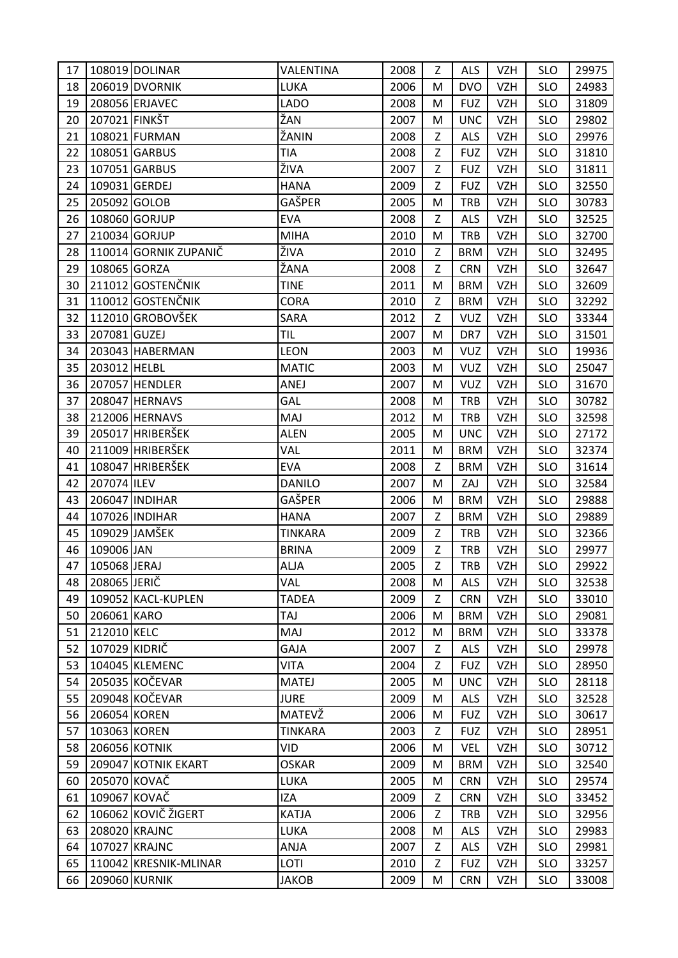| 17 |               | 108019 DOLINAR        | VALENTINA      | 2008 | Z | <b>ALS</b> | VZH        | <b>SLO</b> | 29975 |
|----|---------------|-----------------------|----------------|------|---|------------|------------|------------|-------|
| 18 |               | 206019 DVORNIK        | LUKA           | 2006 | M | <b>DVO</b> | <b>VZH</b> | <b>SLO</b> | 24983 |
| 19 |               | 208056 ERJAVEC        | <b>LADO</b>    | 2008 | M | <b>FUZ</b> | <b>VZH</b> | <b>SLO</b> | 31809 |
| 20 | 207021 FINKŠT |                       | ŽAN            | 2007 | M | <b>UNC</b> | <b>VZH</b> | <b>SLO</b> | 29802 |
| 21 |               | 108021 FURMAN         | ŽANIN          | 2008 | Z | <b>ALS</b> | <b>VZH</b> | <b>SLO</b> | 29976 |
| 22 |               | 108051 GARBUS         | TIA            | 2008 | Ζ | <b>FUZ</b> | <b>VZH</b> | <b>SLO</b> | 31810 |
| 23 |               | 107051 GARBUS         | ŽIVA           | 2007 | Z | <b>FUZ</b> | <b>VZH</b> | <b>SLO</b> | 31811 |
| 24 |               | 109031 GERDEJ         | <b>HANA</b>    | 2009 | Z | <b>FUZ</b> | <b>VZH</b> | <b>SLO</b> | 32550 |
| 25 | 205092 GOLOB  |                       | GAŠPER         | 2005 | M | <b>TRB</b> | <b>VZH</b> | <b>SLO</b> | 30783 |
| 26 |               | 108060 GORJUP         | <b>EVA</b>     | 2008 | Z | <b>ALS</b> | <b>VZH</b> | <b>SLO</b> | 32525 |
| 27 |               | 210034 GORJUP         | <b>MIHA</b>    | 2010 | M | <b>TRB</b> | <b>VZH</b> | <b>SLO</b> | 32700 |
| 28 |               | 110014 GORNIK ZUPANIČ | ŽIVA           | 2010 | Z | <b>BRM</b> | <b>VZH</b> | <b>SLO</b> | 32495 |
| 29 | 108065 GORZA  |                       | ŽANA           | 2008 | Z | <b>CRN</b> | <b>VZH</b> | <b>SLO</b> | 32647 |
| 30 |               | 211012 GOSTENČNIK     | <b>TINE</b>    | 2011 | M | <b>BRM</b> | <b>VZH</b> | <b>SLO</b> | 32609 |
| 31 |               | 110012 GOSTENČNIK     | <b>CORA</b>    | 2010 | Z | <b>BRM</b> | <b>VZH</b> | <b>SLO</b> | 32292 |
| 32 |               | 112010 GROBOVŠEK      | <b>SARA</b>    | 2012 | Z | <b>VUZ</b> | <b>VZH</b> | <b>SLO</b> | 33344 |
| 33 | 207081 GUZEJ  |                       | <b>TIL</b>     | 2007 | M | DR7        | <b>VZH</b> | <b>SLO</b> | 31501 |
| 34 |               | 203043 HABERMAN       | <b>LEON</b>    | 2003 | M | <b>VUZ</b> | <b>VZH</b> | <b>SLO</b> | 19936 |
| 35 | 203012 HELBL  |                       | <b>MATIC</b>   | 2003 | M | <b>VUZ</b> | <b>VZH</b> | <b>SLO</b> | 25047 |
| 36 |               | 207057 HENDLER        | ANEJ           | 2007 | M | <b>VUZ</b> | <b>VZH</b> | <b>SLO</b> | 31670 |
| 37 |               | 208047 HERNAVS        | GAL            | 2008 | M | <b>TRB</b> | <b>VZH</b> | <b>SLO</b> | 30782 |
| 38 |               | 212006 HERNAVS        | MAJ            | 2012 | M | <b>TRB</b> | <b>VZH</b> | <b>SLO</b> | 32598 |
| 39 |               | 205017 HRIBERŠEK      | <b>ALEN</b>    | 2005 | M | <b>UNC</b> | <b>VZH</b> | <b>SLO</b> | 27172 |
| 40 |               | 211009 HRIBERŠEK      | VAL            | 2011 | M | <b>BRM</b> | <b>VZH</b> | <b>SLO</b> | 32374 |
| 41 |               | 108047 HRIBERŠEK      | <b>EVA</b>     | 2008 | Z | <b>BRM</b> | <b>VZH</b> | <b>SLO</b> | 31614 |
| 42 | 207074 ILEV   |                       | <b>DANILO</b>  | 2007 | M | ZAJ        | <b>VZH</b> | <b>SLO</b> | 32584 |
| 43 |               | 206047 INDIHAR        | GAŠPER         | 2006 | M | <b>BRM</b> | <b>VZH</b> | <b>SLO</b> | 29888 |
| 44 |               | 107026 INDIHAR        | <b>HANA</b>    | 2007 | Z | <b>BRM</b> | <b>VZH</b> | <b>SLO</b> | 29889 |
| 45 |               | 109029 JAMŠEK         | <b>TINKARA</b> | 2009 | Z | <b>TRB</b> | <b>VZH</b> | <b>SLO</b> | 32366 |
| 46 | 109006 JAN    |                       | <b>BRINA</b>   | 2009 | Z | <b>TRB</b> | <b>VZH</b> | <b>SLO</b> | 29977 |
| 47 | 105068 JERAJ  |                       | <b>ALJA</b>    | 2005 | Z | <b>TRB</b> | <b>VZH</b> | <b>SLO</b> | 29922 |
| 48 | 208065 JERIČ  |                       | VAL            | 2008 | м | <b>ALS</b> | <b>VZH</b> | <b>SLO</b> | 32538 |
| 49 |               | 109052 KACL-KUPLEN    | <b>TADEA</b>   | 2009 | Z | <b>CRN</b> | <b>VZH</b> | <b>SLO</b> | 33010 |
| 50 | 206061 KARO   |                       | TAJ            | 2006 | M | <b>BRM</b> | <b>VZH</b> | <b>SLO</b> | 29081 |
| 51 | 212010 KELC   |                       | MAJ            | 2012 | M | <b>BRM</b> | <b>VZH</b> | <b>SLO</b> | 33378 |
| 52 | 107029 KIDRIČ |                       | <b>GAJA</b>    | 2007 | Z | <b>ALS</b> | <b>VZH</b> | <b>SLO</b> | 29978 |
| 53 |               | 104045 KLEMENC        | <b>VITA</b>    | 2004 | Z | <b>FUZ</b> | <b>VZH</b> | <b>SLO</b> | 28950 |
| 54 |               | 205035 KOČEVAR        | <b>MATEJ</b>   | 2005 | M | <b>UNC</b> | <b>VZH</b> | <b>SLO</b> | 28118 |
| 55 |               | 209048 KOČEVAR        | <b>JURE</b>    | 2009 | M | <b>ALS</b> | <b>VZH</b> | <b>SLO</b> | 32528 |
| 56 | 206054 KOREN  |                       | MATEVŽ         | 2006 | M | <b>FUZ</b> | <b>VZH</b> | <b>SLO</b> | 30617 |
| 57 | 103063 KOREN  |                       | <b>TINKARA</b> | 2003 | Z | <b>FUZ</b> | <b>VZH</b> | <b>SLO</b> | 28951 |
| 58 |               | 206056 KOTNIK         | VID            | 2006 | M | <b>VEL</b> | <b>VZH</b> | <b>SLO</b> | 30712 |
| 59 |               | 209047 KOTNIK EKART   | <b>OSKAR</b>   | 2009 | M | <b>BRM</b> | <b>VZH</b> | <b>SLO</b> | 32540 |
| 60 | 205070 KOVAČ  |                       | LUKA           | 2005 | M | <b>CRN</b> | <b>VZH</b> | <b>SLO</b> | 29574 |
| 61 | 109067 KOVAČ  |                       | IZA            | 2009 | Z | <b>CRN</b> | <b>VZH</b> | <b>SLO</b> | 33452 |
| 62 |               | 106062 KOVIČ ŽIGERT   | <b>KATJA</b>   | 2006 | Z | <b>TRB</b> | <b>VZH</b> | <b>SLO</b> | 32956 |
| 63 |               | 208020 KRAJNC         | LUKA           | 2008 | M | <b>ALS</b> | <b>VZH</b> | <b>SLO</b> | 29983 |
| 64 |               | 107027 KRAJNC         | ANJA           | 2007 | Z | <b>ALS</b> | <b>VZH</b> | <b>SLO</b> | 29981 |
| 65 |               | 110042 KRESNIK-MLINAR | LOTI           | 2010 | Z | <b>FUZ</b> | <b>VZH</b> | <b>SLO</b> | 33257 |
| 66 |               | 209060 KURNIK         | <b>JAKOB</b>   | 2009 | M | <b>CRN</b> | VZH        | <b>SLO</b> | 33008 |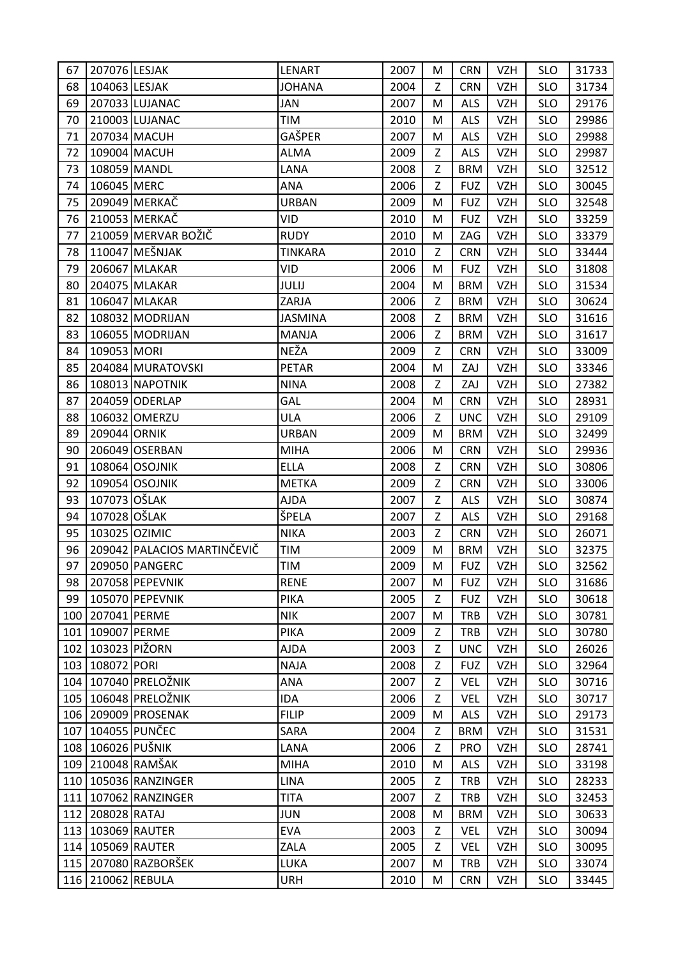| 67  | 207076 LESJAK         |                             | LENART         | 2007 | М           | <b>CRN</b> | VZH        | <b>SLO</b> | 31733 |
|-----|-----------------------|-----------------------------|----------------|------|-------------|------------|------------|------------|-------|
| 68  | 104063 LESJAK         |                             | <b>JOHANA</b>  | 2004 | Z           | <b>CRN</b> | <b>VZH</b> | <b>SLO</b> | 31734 |
| 69  |                       | 207033 LUJANAC              | JAN            | 2007 | M           | <b>ALS</b> | <b>VZH</b> | <b>SLO</b> | 29176 |
| 70  |                       | 210003 LUJANAC              | TIM            | 2010 | M           | <b>ALS</b> | <b>VZH</b> | <b>SLO</b> | 29986 |
| 71  |                       | 207034 MACUH                | GAŠPER         | 2007 | M           | <b>ALS</b> | <b>VZH</b> | <b>SLO</b> | 29988 |
| 72  |                       | 109004 MACUH                | ALMA           | 2009 | Z           | <b>ALS</b> | <b>VZH</b> | <b>SLO</b> | 29987 |
| 73  |                       | 108059 MANDL                | LANA           | 2008 | Z           | <b>BRM</b> | <b>VZH</b> | <b>SLO</b> | 32512 |
| 74  | 106045 MERC           |                             | ANA            | 2006 | Z           | <b>FUZ</b> | <b>VZH</b> | <b>SLO</b> | 30045 |
| 75  |                       | 209049 MERKAČ               | <b>URBAN</b>   | 2009 | M           | <b>FUZ</b> | <b>VZH</b> | <b>SLO</b> | 32548 |
| 76  |                       | 210053 MERKAČ               | VID            | 2010 | M           | <b>FUZ</b> | <b>VZH</b> | <b>SLO</b> | 33259 |
| 77  |                       | 210059 MERVAR BOŽIČ         | <b>RUDY</b>    | 2010 | M           | ZAG        | <b>VZH</b> | <b>SLO</b> | 33379 |
| 78  |                       | 110047 MEŠNJAK              | <b>TINKARA</b> | 2010 | Z           | <b>CRN</b> | <b>VZH</b> | <b>SLO</b> | 33444 |
| 79  |                       | 206067 MLAKAR               | VID            | 2006 | М           | <b>FUZ</b> | <b>VZH</b> | <b>SLO</b> | 31808 |
| 80  |                       | 204075 MLAKAR               | JULIJ          | 2004 | M           | <b>BRM</b> | <b>VZH</b> | <b>SLO</b> | 31534 |
| 81  |                       | 106047 MLAKAR               | ZARJA          | 2006 | Z           | <b>BRM</b> | <b>VZH</b> | <b>SLO</b> | 30624 |
| 82  |                       | 108032 MODRIJAN             | <b>JASMINA</b> | 2008 | $\mathsf Z$ | <b>BRM</b> | <b>VZH</b> | <b>SLO</b> | 31616 |
| 83  |                       | 106055 MODRIJAN             | <b>MANJA</b>   | 2006 | Z           | <b>BRM</b> | <b>VZH</b> | <b>SLO</b> | 31617 |
| 84  | 109053 MORI           |                             | NEŽA           | 2009 | Z           | <b>CRN</b> | <b>VZH</b> | <b>SLO</b> | 33009 |
| 85  |                       | 204084 MURATOVSKI           | <b>PETAR</b>   | 2004 | M           | ZAJ        | <b>VZH</b> | <b>SLO</b> | 33346 |
| 86  |                       | 108013 NAPOTNIK             | <b>NINA</b>    | 2008 | Z           | ZAJ        | <b>VZH</b> | <b>SLO</b> | 27382 |
| 87  |                       | 204059 ODERLAP              | GAL            | 2004 | M           | <b>CRN</b> | <b>VZH</b> | <b>SLO</b> | 28931 |
| 88  |                       | 106032 OMERZU               | ULA            | 2006 | Z           | <b>UNC</b> | <b>VZH</b> | <b>SLO</b> | 29109 |
| 89  | 209044 ORNIK          |                             | <b>URBAN</b>   | 2009 | M           | <b>BRM</b> | <b>VZH</b> | <b>SLO</b> | 32499 |
| 90  |                       | 206049 OSERBAN              | <b>MIHA</b>    | 2006 | M           | <b>CRN</b> | <b>VZH</b> | <b>SLO</b> | 29936 |
| 91  |                       | 108064 OSOJNIK              | <b>ELLA</b>    | 2008 | Z           | <b>CRN</b> | <b>VZH</b> | <b>SLO</b> | 30806 |
| 92  |                       | 109054 OSOJNIK              | <b>METKA</b>   | 2009 | Z           | <b>CRN</b> | VZH        | <b>SLO</b> | 33006 |
| 93  | 107073 OŠLAK          |                             | <b>AJDA</b>    | 2007 | Z           | <b>ALS</b> | <b>VZH</b> | <b>SLO</b> | 30874 |
| 94  | 107028 OŠLAK          |                             | ŠPELA          | 2007 | $\mathsf Z$ | <b>ALS</b> | <b>VZH</b> | <b>SLO</b> | 29168 |
| 95  |                       | 103025 OZIMIC               | <b>NIKA</b>    | 2003 | Z           | <b>CRN</b> | <b>VZH</b> | <b>SLO</b> | 26071 |
| 96  |                       | 209042 PALACIOS MARTINČEVIČ | TIM            | 2009 | M           | <b>BRM</b> | <b>VZH</b> | <b>SLO</b> | 32375 |
| 97  |                       | 209050 PANGERC              | TIM            | 2009 | M           | <b>FUZ</b> | <b>VZH</b> | <b>SLO</b> | 32562 |
| 98  |                       | 207058 PEPEVNIK             | <b>RENE</b>    | 2007 | M           | <b>FUZ</b> | <b>VZH</b> | <b>SLO</b> | 31686 |
| 99  |                       | 105070 PEPEVNIK             | <b>PIKA</b>    | 2005 | Z           | <b>FUZ</b> | <b>VZH</b> | <b>SLO</b> | 30618 |
| 100 | 207041 PERME          |                             | <b>NIK</b>     | 2007 | M           | <b>TRB</b> | <b>VZH</b> | <b>SLO</b> | 30781 |
|     | 101 109007 PERME      |                             | <b>PIKA</b>    | 2009 | Z           | <b>TRB</b> | <b>VZH</b> | <b>SLO</b> | 30780 |
| 102 |                       | 103023 PIŽORN               | <b>AJDA</b>    | 2003 | Z           | <b>UNC</b> | <b>VZH</b> | <b>SLO</b> | 26026 |
|     | 103 108072 PORI       |                             | <b>NAJA</b>    | 2008 | Z           | <b>FUZ</b> | <b>VZH</b> | <b>SLO</b> | 32964 |
|     |                       | 104 107040 PRELOŽNIK        | <b>ANA</b>     | 2007 | Z           | <b>VEL</b> | <b>VZH</b> | <b>SLO</b> | 30716 |
|     |                       | 105 106048 PRELOŽNIK        | IDA            | 2006 | Z           | <b>VEL</b> | <b>VZH</b> | <b>SLO</b> | 30717 |
|     |                       | 106 209009 PROSENAK         | <b>FILIP</b>   | 2009 | M           | <b>ALS</b> | <b>VZH</b> | <b>SLO</b> | 29173 |
| 107 |                       | 104055 PUNČEC               | SARA           | 2004 | Z           | <b>BRM</b> | <b>VZH</b> | <b>SLO</b> | 31531 |
|     | 108   106026 PUŠNIK   |                             | LANA           | 2006 | Z           | PRO        | <b>VZH</b> | <b>SLO</b> | 28741 |
|     |                       | 109 210048 RAMŠAK           | <b>MIHA</b>    | 2010 | M           | <b>ALS</b> | <b>VZH</b> | <b>SLO</b> | 33198 |
|     |                       | 110   105036   RANZINGER    | <b>LINA</b>    | 2005 | Z           | <b>TRB</b> | <b>VZH</b> | <b>SLO</b> | 28233 |
|     |                       | 111 107062 RANZINGER        | <b>TITA</b>    | 2007 | Z           | <b>TRB</b> | VZH        | <b>SLO</b> | 32453 |
|     | 112 208028 RATAJ      |                             | JUN            | 2008 | M           | <b>BRM</b> | <b>VZH</b> | <b>SLO</b> | 30633 |
|     |                       | 113 103069 RAUTER           | <b>EVA</b>     | 2003 | Z           | VEL        | <b>VZH</b> | <b>SLO</b> | 30094 |
|     |                       | 114   105069   RAUTER       | ZALA           | 2005 | Z           | <b>VEL</b> | <b>VZH</b> | <b>SLO</b> | 30095 |
|     |                       | 115   207080 RAZBORŠEK      | LUKA           | 2007 | M           | <b>TRB</b> | <b>VZH</b> | <b>SLO</b> | 33074 |
|     | 116   210062   REBULA |                             | <b>URH</b>     | 2010 | M           | <b>CRN</b> | VZH        | <b>SLO</b> | 33445 |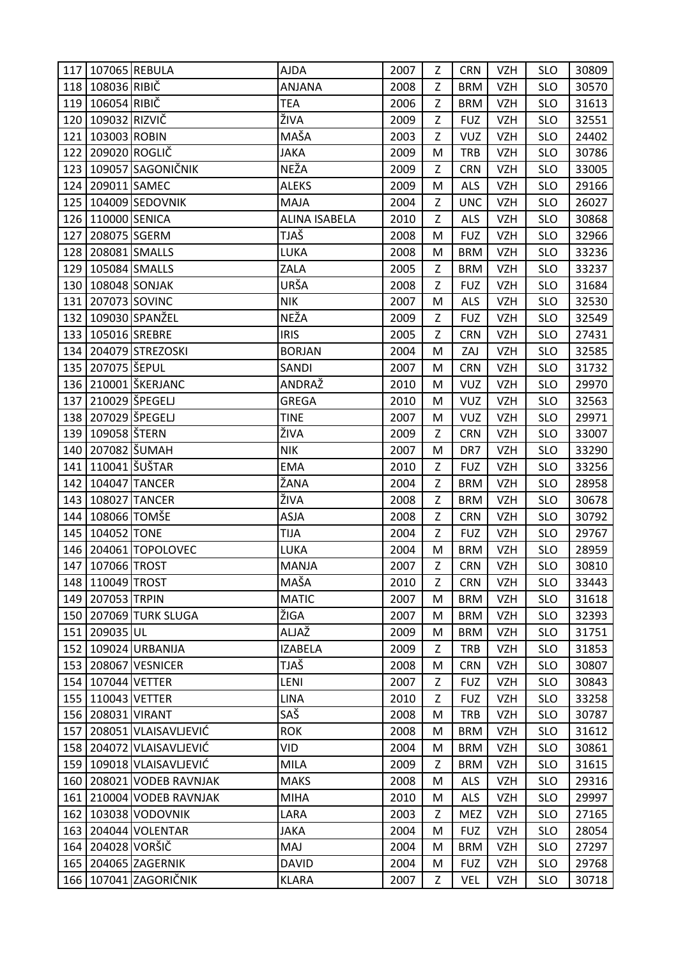|     | 117   107065   REBULA |                              | <b>AJDA</b>          | 2007 | Ζ | <b>CRN</b> | <b>VZH</b> | <b>SLO</b> | 30809 |
|-----|-----------------------|------------------------------|----------------------|------|---|------------|------------|------------|-------|
|     | 118 108036 RIBIČ      |                              | <b>ANJANA</b>        | 2008 | Z | <b>BRM</b> | <b>VZH</b> | <b>SLO</b> | 30570 |
|     | 119 106054 RIBIČ      |                              | <b>TEA</b>           | 2006 | Z | <b>BRM</b> | <b>VZH</b> | <b>SLO</b> | 31613 |
|     | 120   109032 RIZVIČ   |                              | ŽIVA                 | 2009 | Z | <b>FUZ</b> | <b>VZH</b> | <b>SLO</b> | 32551 |
| 121 | 103003 ROBIN          |                              | MAŠA                 | 2003 | Z | <b>VUZ</b> | <b>VZH</b> | <b>SLO</b> | 24402 |
|     | 122 209020 ROGLIČ     |                              | <b>JAKA</b>          | 2009 | M | <b>TRB</b> | <b>VZH</b> | <b>SLO</b> | 30786 |
|     |                       | 123 109057 SAGONIČNIK        | NEŽA                 | 2009 | Z | <b>CRN</b> | <b>VZH</b> | <b>SLO</b> | 33005 |
| 124 | 209011 SAMEC          |                              | <b>ALEKS</b>         | 2009 | M | <b>ALS</b> | <b>VZH</b> | <b>SLO</b> | 29166 |
|     |                       | 125 104009 SEDOVNIK          | MAJA                 | 2004 | Z | <b>UNC</b> | <b>VZH</b> | <b>SLO</b> | 26027 |
|     | 126 110000 SENICA     |                              | <b>ALINA ISABELA</b> | 2010 | Z | <b>ALS</b> | <b>VZH</b> | <b>SLO</b> | 30868 |
| 127 | 208075 SGERM          |                              | TJAŠ                 | 2008 | M | <b>FUZ</b> | VZH        | <b>SLO</b> | 32966 |
|     | 128 208081 SMALLS     |                              | LUKA                 | 2008 | M | <b>BRM</b> | <b>VZH</b> | <b>SLO</b> | 33236 |
|     | 129 105084 SMALLS     |                              | ZALA                 | 2005 | Z | <b>BRM</b> | <b>VZH</b> | <b>SLO</b> | 33237 |
|     |                       | 130 108048 SONJAK            | URŠA                 | 2008 | Z | <b>FUZ</b> | <b>VZH</b> | <b>SLO</b> | 31684 |
|     | 131 207073 SOVINC     |                              | <b>NIK</b>           | 2007 | M | <b>ALS</b> | <b>VZH</b> | <b>SLO</b> | 32530 |
|     |                       | 132 109030 SPANŽEL           | NEŽA                 | 2009 | Z | <b>FUZ</b> | <b>VZH</b> | <b>SLO</b> | 32549 |
|     | 133 105016 SREBRE     |                              | <b>IRIS</b>          | 2005 | Z | <b>CRN</b> | <b>VZH</b> | <b>SLO</b> | 27431 |
|     |                       | 134 204079 STREZOSKI         | <b>BORJAN</b>        | 2004 | M | ZAJ        | <b>VZH</b> | <b>SLO</b> | 32585 |
|     | 135   207075   ŠEPUL  |                              | SANDI                | 2007 | M | <b>CRN</b> | <b>VZH</b> | <b>SLO</b> | 31732 |
|     |                       | 136 210001 ŠKERJANC          | ANDRAŽ               | 2010 | M | <b>VUZ</b> | <b>VZH</b> | <b>SLO</b> | 29970 |
| 137 |                       | 210029 ŠPEGELJ               | <b>GREGA</b>         | 2010 | M | <b>VUZ</b> | <b>VZH</b> | <b>SLO</b> | 32563 |
|     |                       | 138 207029 ŠPEGELJ           | <b>TINE</b>          | 2007 | M | <b>VUZ</b> | <b>VZH</b> | <b>SLO</b> | 29971 |
|     | 139 109058 STERN      |                              | ŽIVA                 | 2009 | Z | <b>CRN</b> | <b>VZH</b> | <b>SLO</b> | 33007 |
|     | 140 207082 SUMAH      |                              | <b>NIK</b>           | 2007 | M | DR7        | <b>VZH</b> | <b>SLO</b> | 33290 |
|     | 141 110041 ŠUŠTAR     |                              | <b>EMA</b>           | 2010 | Z | <b>FUZ</b> | <b>VZH</b> | <b>SLO</b> | 33256 |
|     |                       | 142   104047 TANCER          | ŽANA                 | 2004 | Z | <b>BRM</b> | <b>VZH</b> | <b>SLO</b> | 28958 |
| 143 |                       | 108027 TANCER                | ŽIVA                 | 2008 | Z | <b>BRM</b> | <b>VZH</b> | <b>SLO</b> | 30678 |
|     | 144 108066 TOMŠE      |                              | <b>ASJA</b>          | 2008 | Z | <b>CRN</b> | <b>VZH</b> | <b>SLO</b> | 30792 |
| 145 | 104052 TONE           |                              | TIJA                 | 2004 | Z | <b>FUZ</b> | <b>VZH</b> | <b>SLO</b> | 29767 |
|     |                       | 146 204061 TOPOLOVEC         | LUKA                 | 2004 | M | <b>BRM</b> | <b>VZH</b> | <b>SLO</b> | 28959 |
|     | 147 107066 TROST      |                              | <b>MANJA</b>         | 2007 | Z | <b>CRN</b> | <b>VZH</b> | <b>SLO</b> | 30810 |
|     | 148 110049 TROST      |                              | MAŠA                 | 2010 | Z | <b>CRN</b> | <b>VZH</b> | <b>SLO</b> | 33443 |
|     | 149 207053 TRPIN      |                              | <b>MATIC</b>         | 2007 | M | <b>BRM</b> | <b>VZH</b> | <b>SLO</b> | 31618 |
|     |                       | 150 207069 TURK SLUGA        | ŽIGA                 | 2007 | M | <b>BRM</b> | <b>VZH</b> | <b>SLO</b> | 32393 |
|     | 151 209035 UL         |                              | ALJAŽ                | 2009 | M | <b>BRM</b> | <b>VZH</b> | <b>SLO</b> | 31751 |
| 152 |                       | 109024 URBANIJA              | <b>IZABELA</b>       | 2009 | Z | <b>TRB</b> | <b>VZH</b> | <b>SLO</b> | 31853 |
|     |                       | 153 208067 VESNICER          | TJAŠ                 | 2008 | M | <b>CRN</b> | <b>VZH</b> | <b>SLO</b> | 30807 |
|     | 154 107044 VETTER     |                              | LENI                 | 2007 | Z | <b>FUZ</b> | <b>VZH</b> | <b>SLO</b> | 30843 |
|     | 155   110043   VETTER |                              | <b>LINA</b>          | 2010 | Z | <b>FUZ</b> | <b>VZH</b> | <b>SLO</b> | 33258 |
|     | 156 208031 VIRANT     |                              | SAŠ                  | 2008 | M | <b>TRB</b> | <b>VZH</b> | <b>SLO</b> | 30787 |
| 157 |                       | 208051 VLAISAVLJEVIĆ         | <b>ROK</b>           | 2008 | M | <b>BRM</b> | <b>VZH</b> | <b>SLO</b> | 31612 |
|     |                       | 158 204072 VLAISAVLJEVIĆ     | VID                  | 2004 | M | <b>BRM</b> | <b>VZH</b> | <b>SLO</b> | 30861 |
|     |                       | 159   109018   VLAISAVLJEVIĆ | MILA                 | 2009 | Z | <b>BRM</b> | <b>VZH</b> | <b>SLO</b> | 31615 |
|     |                       | 160 208021 VODEB RAVNJAK     | <b>MAKS</b>          | 2008 | M | <b>ALS</b> | <b>VZH</b> | <b>SLO</b> | 29316 |
|     |                       | 161 210004 VODEB RAVNJAK     | <b>MIHA</b>          | 2010 | M | <b>ALS</b> | <b>VZH</b> | <b>SLO</b> | 29997 |
|     |                       | 162   103038   VODOVNIK      | LARA                 | 2003 | Z | MEZ        | <b>VZH</b> | <b>SLO</b> | 27165 |
|     |                       | 163 204044 VOLENTAR          | <b>JAKA</b>          | 2004 | M | <b>FUZ</b> | <b>VZH</b> | <b>SLO</b> | 28054 |
| 164 | 204028 VORŠIČ         |                              | MAJ                  | 2004 | M | <b>BRM</b> | <b>VZH</b> | <b>SLO</b> | 27297 |
|     |                       | 165 204065 ZAGERNIK          | <b>DAVID</b>         | 2004 | M | <b>FUZ</b> | <b>VZH</b> | <b>SLO</b> | 29768 |
|     |                       | 166   107041 ZAGORIČNIK      | <b>KLARA</b>         | 2007 | Z | <b>VEL</b> | <b>VZH</b> | <b>SLO</b> | 30718 |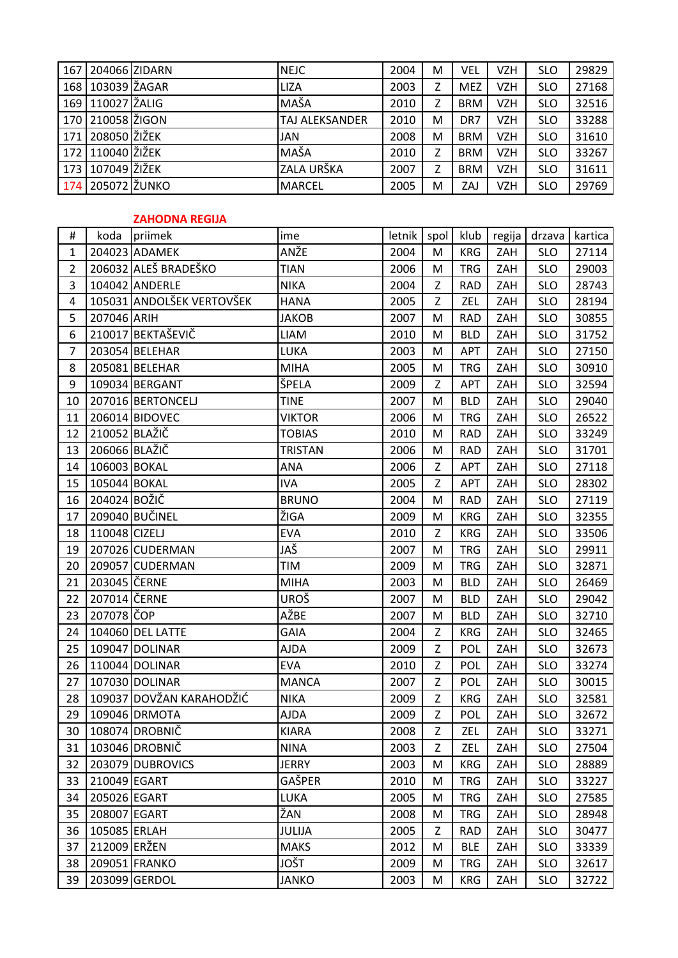|                | 167 204066 ZIDARN |                           | <b>NEJC</b>    | 2004   | M    | VEL        | <b>VZH</b> | <b>SLO</b> | 29829   |
|----------------|-------------------|---------------------------|----------------|--------|------|------------|------------|------------|---------|
| 168            | 103039 ŽAGAR      |                           | <b>LIZA</b>    | 2003   | Z    | <b>MEZ</b> | <b>VZH</b> | <b>SLO</b> | 27168   |
| 169            | 110027 ŽALIG      |                           | MAŠA           | 2010   | Z    | <b>BRM</b> | <b>VZH</b> | <b>SLO</b> | 32516   |
| 170            | 210058 ŽIGON      |                           | TAJ ALEKSANDER | 2010   | М    | DR7        | <b>VZH</b> | <b>SLO</b> | 33288   |
| 171            | 208050 ŽIŽEK      |                           | JAN            | 2008   | M    | <b>BRM</b> | <b>VZH</b> | <b>SLO</b> | 31610   |
| 172            | 110040 ŽIŽEK      |                           | MAŠA           | 2010   | Z    | <b>BRM</b> | <b>VZH</b> | <b>SLO</b> | 33267   |
| 173            | 107049 ŽIŽEK      |                           | ZALA URŠKA     | 2007   | Z    | <b>BRM</b> | <b>VZH</b> | <b>SLO</b> | 31611   |
| 174            | 205072 ŽUNKO      |                           | <b>MARCEL</b>  | 2005   | M    | ZAJ        | <b>VZH</b> | <b>SLO</b> | 29769   |
|                |                   |                           |                |        |      |            |            |            |         |
|                |                   | <b>ZAHODNA REGIJA</b>     |                |        |      |            |            |            |         |
| $\#$           | koda              | priimek                   | ime            | letnik | spol | klub       | regija     | drzava     | kartica |
| $\mathbf 1$    |                   | 204023 ADAMEK             | ANŽE           | 2004   | M    | <b>KRG</b> | ZAH        | <b>SLO</b> | 27114   |
| $\overline{2}$ |                   | 206032 ALEŠ BRADEŠKO      | <b>TIAN</b>    | 2006   | M    | <b>TRG</b> | ZAH        | <b>SLO</b> | 29003   |
| 3              |                   | 104042 ANDERLE            | <b>NIKA</b>    | 2004   | Z    | <b>RAD</b> | ZAH        | <b>SLO</b> | 28743   |
| 4              |                   | 105031 ANDOLŠEK VERTOVŠEK | <b>HANA</b>    | 2005   | Z    | ZEL        | ZAH        | <b>SLO</b> | 28194   |
| 5              | 207046 ARIH       |                           | <b>JAKOB</b>   | 2007   | M    | <b>RAD</b> | ZAH        | <b>SLO</b> | 30855   |
| 6              |                   | 210017 BEKTAŠEVIČ         | <b>LIAM</b>    | 2010   | M    | <b>BLD</b> | ZAH        | <b>SLO</b> | 31752   |
| $\overline{7}$ |                   | 203054 BELEHAR            | LUKA           | 2003   | M    | APT        | ZAH        | <b>SLO</b> | 27150   |
| 8              |                   | 205081 BELEHAR            | <b>MIHA</b>    | 2005   | M    | <b>TRG</b> | ZAH        | <b>SLO</b> | 30910   |
| 9              |                   | 109034 BERGANT            | ŠPELA          | 2009   | Z    | <b>APT</b> | ZAH        | <b>SLO</b> | 32594   |
| 10             |                   | 207016 BERTONCELJ         | <b>TINE</b>    | 2007   | M    | <b>BLD</b> | ZAH        | <b>SLO</b> | 29040   |
| 11             |                   | 206014 BIDOVEC            | <b>VIKTOR</b>  | 2006   | M    | <b>TRG</b> | ZAH        | <b>SLO</b> | 26522   |
| 12             | 210052 BLAŽIČ     |                           | <b>TOBIAS</b>  | 2010   | M    | <b>RAD</b> | ZAH        | <b>SLO</b> | 33249   |
| 13             | 206066 BLAŽIČ     |                           | <b>TRISTAN</b> | 2006   | M    | <b>RAD</b> | ZAH        | <b>SLO</b> | 31701   |
| 14             | 106003 BOKAL      |                           | ANA            | 2006   | Z    | APT        | ZAH        | <b>SLO</b> | 27118   |
| 15             | 105044 BOKAL      |                           | <b>IVA</b>     | 2005   | Z    | APT        | ZAH        | <b>SLO</b> | 28302   |
| 16             | 204024 BOŽIČ      |                           | <b>BRUNO</b>   | 2004   | M    | <b>RAD</b> | ZAH        | <b>SLO</b> | 27119   |
| 17             |                   | 209040 BUČINEL            | ŽIGA           | 2009   | M    | <b>KRG</b> | ZAH        | <b>SLO</b> | 32355   |
| 18             | 110048 CIZELJ     |                           | <b>EVA</b>     | 2010   | Z    | <b>KRG</b> | ZAH        | <b>SLO</b> | 33506   |
| 19             |                   | 207026 CUDERMAN           | JAŠ            | 2007   | M    | <b>TRG</b> | ZAH        | <b>SLO</b> | 29911   |
| 20             |                   | 209057 CUDERMAN           | <b>TIM</b>     | 2009   | M    | <b>TRG</b> | ZAH        | <b>SLO</b> | 32871   |
| 21             | 203045 ČERNE      |                           | <b>MIHA</b>    | 2003   | M    | <b>BLD</b> | ZAH        | <b>SLO</b> | 26469   |
| 22             | 207014 ČERNE      |                           | <b>UROŠ</b>    | 2007   | M    | <b>BLD</b> | ZAH        | <b>SLO</b> | 29042   |
| 23             | 207078 ČOP        |                           | AŽBE           | 2007   | M    | <b>BLD</b> | ZAH        | <b>SLO</b> | 32710   |
| 24             |                   | 104060 DEL LATTE          | <b>GAIA</b>    | 2004   | Z    | <b>KRG</b> | ZAH        | <b>SLO</b> | 32465   |
| 25             |                   | 109047 DOLINAR            | <b>AJDA</b>    | 2009   | Z    | POL        | ZAH        | <b>SLO</b> | 32673   |
| 26             |                   | 110044 DOLINAR            | <b>EVA</b>     | 2010   | Z    | <b>POL</b> | ZAH        | <b>SLO</b> | 33274   |
| 27             |                   | 107030 DOLINAR            | <b>MANCA</b>   | 2007   | Z    | <b>POL</b> | ZAH        | <b>SLO</b> | 30015   |
| 28             |                   | 109037 DOVŽAN KARAHODŽIĆ  | <b>NIKA</b>    | 2009   | Z    | <b>KRG</b> | ZAH        | <b>SLO</b> | 32581   |
| 29             |                   | 109046 DRMOTA             | <b>AJDA</b>    | 2009   | Z    | <b>POL</b> | ZAH        | <b>SLO</b> | 32672   |
| 30             |                   | 108074 DROBNIČ            | <b>KIARA</b>   | 2008   | Z    | ZEL        | ZAH        | <b>SLO</b> | 33271   |
| 31             |                   | 103046 DROBNIČ            | <b>NINA</b>    | 2003   | Z    | ZEL        | ZAH        | <b>SLO</b> | 27504   |
| 32             |                   | 203079 DUBROVICS          | <b>JERRY</b>   | 2003   | M    | <b>KRG</b> | ZAH        | <b>SLO</b> | 28889   |
| 33             | 210049 EGART      |                           | GAŠPER         | 2010   | M    | <b>TRG</b> | ZAH        | <b>SLO</b> | 33227   |
| 34             | 205026 EGART      |                           | LUKA           | 2005   | M    | <b>TRG</b> | ZAH        | <b>SLO</b> | 27585   |
| 35             | 208007 EGART      |                           | ŽAN            | 2008   | M    | <b>TRG</b> | ZAH        | <b>SLO</b> | 28948   |
| 36             | 105085 ERLAH      |                           | JULIJA         | 2005   | Z    | <b>RAD</b> | ZAH        | <b>SLO</b> | 30477   |
| 37             | 212009 ERŽEN      |                           | <b>MAKS</b>    | 2012   | M    | <b>BLE</b> | ZAH        | <b>SLO</b> | 33339   |
| 38             |                   | 209051 FRANKO             | <b>TŽOL</b>    | 2009   | M    | <b>TRG</b> | ZAH        | <b>SLO</b> | 32617   |
| 39             |                   | 203099 GERDOL             | JANKO          | 2003   | M    | <b>KRG</b> | ZAH        | <b>SLO</b> | 32722   |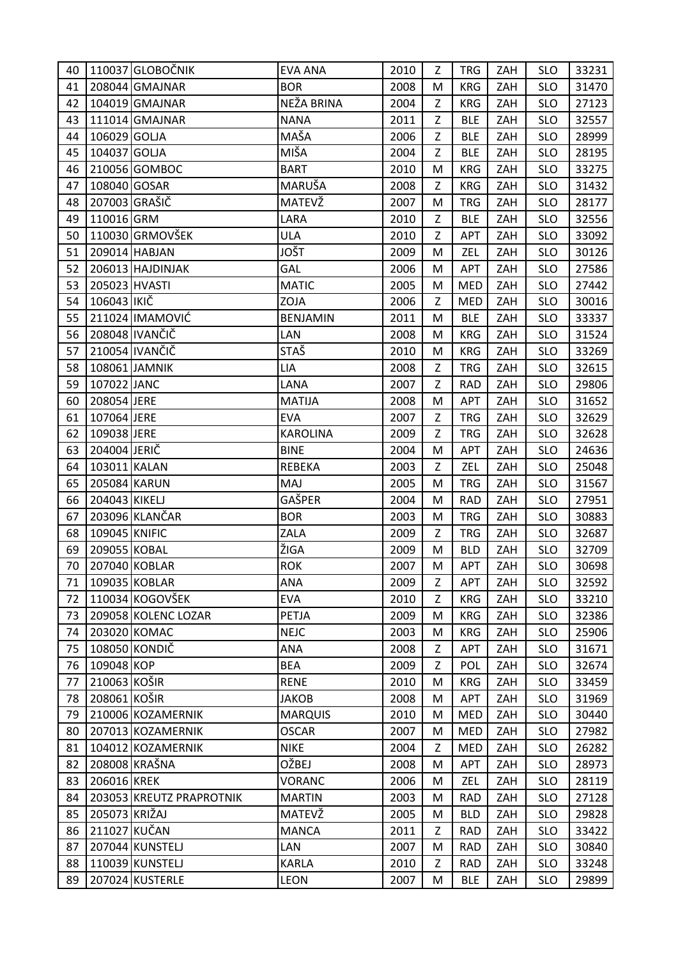| 40 |               | 110037 GLOBOČNIK         | <b>EVA ANA</b>  | 2010 | Z | <b>TRG</b> | ZAH | <b>SLO</b> | 33231 |
|----|---------------|--------------------------|-----------------|------|---|------------|-----|------------|-------|
| 41 |               | 208044 GMAJNAR           | <b>BOR</b>      | 2008 | M | <b>KRG</b> | ZAH | <b>SLO</b> | 31470 |
| 42 |               | 104019 GMAJNAR           | NEŽA BRINA      | 2004 | Z | <b>KRG</b> | ZAH | <b>SLO</b> | 27123 |
| 43 |               | 111014 GMAJNAR           | <b>NANA</b>     | 2011 | Z | <b>BLE</b> | ZAH | <b>SLO</b> | 32557 |
| 44 | 106029 GOLJA  |                          | MAŠA            | 2006 | Z | <b>BLE</b> | ZAH | <b>SLO</b> | 28999 |
| 45 | 104037 GOLJA  |                          | MIŠA            | 2004 | Z | <b>BLE</b> | ZAH | <b>SLO</b> | 28195 |
| 46 |               | 210056 GOMBOC            | <b>BART</b>     | 2010 | M | <b>KRG</b> | ZAH | <b>SLO</b> | 33275 |
| 47 | 108040 GOSAR  |                          | MARUŠA          | 2008 | Z | <b>KRG</b> | ZAH | <b>SLO</b> | 31432 |
| 48 |               | 207003 GRAŠIČ            | MATEVŽ          | 2007 | M | <b>TRG</b> | ZAH | <b>SLO</b> | 28177 |
| 49 | 110016 GRM    |                          | LARA            | 2010 | Z | <b>BLE</b> | ZAH | <b>SLO</b> | 32556 |
| 50 |               | 110030 GRMOVŠEK          | ULA             | 2010 | Z | APT        | ZAH | <b>SLO</b> | 33092 |
| 51 |               | 209014 HABJAN            | <b>JOŠT</b>     | 2009 | M | ZEL        | ZAH | <b>SLO</b> | 30126 |
| 52 |               | 206013 HAJDINJAK         | GAL             | 2006 | М | <b>APT</b> | ZAH | <b>SLO</b> | 27586 |
| 53 | 205023 HVASTI |                          | <b>MATIC</b>    | 2005 | M | <b>MED</b> | ZAH | <b>SLO</b> | 27442 |
| 54 | 106043 IKIČ   |                          | ZOJA            | 2006 | Z | <b>MED</b> | ZAH | <b>SLO</b> | 30016 |
| 55 |               | 211024 IMAMOVIĆ          | <b>BENJAMIN</b> | 2011 | M | <b>BLE</b> | ZAH | <b>SLO</b> | 33337 |
| 56 |               | 208048 IVANČIČ           | LAN             | 2008 | M | <b>KRG</b> | ZAH | <b>SLO</b> | 31524 |
| 57 |               | 210054 IVANČIČ           | STAŠ            | 2010 | M | <b>KRG</b> | ZAH | <b>SLO</b> | 33269 |
| 58 |               | 108061 JAMNIK            | <b>LIA</b>      | 2008 | Z | <b>TRG</b> | ZAH | <b>SLO</b> | 32615 |
| 59 | 107022 JANC   |                          | LANA            | 2007 | Z | <b>RAD</b> | ZAH | <b>SLO</b> | 29806 |
| 60 | 208054 JERE   |                          | <b>MATIJA</b>   | 2008 | M | APT        | ZAH | <b>SLO</b> | 31652 |
| 61 | 107064 JERE   |                          | <b>EVA</b>      | 2007 | Z | <b>TRG</b> | ZAH | <b>SLO</b> | 32629 |
| 62 | 109038 JERE   |                          | <b>KAROLINA</b> | 2009 | Z | <b>TRG</b> | ZAH | <b>SLO</b> | 32628 |
| 63 | 204004 JERIČ  |                          | <b>BINE</b>     | 2004 | M | APT        | ZAH | <b>SLO</b> | 24636 |
| 64 | 103011 KALAN  |                          | REBEKA          | 2003 | Z | ZEL        | ZAH | <b>SLO</b> | 25048 |
| 65 | 205084 KARUN  |                          | MAJ             | 2005 | M | <b>TRG</b> | ZAH | <b>SLO</b> | 31567 |
| 66 | 204043 KIKELJ |                          | GAŠPER          | 2004 | M | <b>RAD</b> | ZAH | <b>SLO</b> | 27951 |
| 67 |               | 203096 KLANČAR           | <b>BOR</b>      | 2003 | M | <b>TRG</b> | ZAH | <b>SLO</b> | 30883 |
| 68 | 109045 KNIFIC |                          | ZALA            | 2009 | Z | <b>TRG</b> | ZAH | <b>SLO</b> | 32687 |
| 69 | 209055 KOBAL  |                          | ŽIGA            | 2009 | M | <b>BLD</b> | ZAH | <b>SLO</b> | 32709 |
| 70 |               | 207040 KOBLAR            | <b>ROK</b>      | 2007 | M | <b>APT</b> | ZAH | <b>SLO</b> | 30698 |
| 71 |               | 109035 KOBLAR            | ANA             | 2009 | Z | <b>APT</b> | ZAH | <b>SLO</b> | 32592 |
| 72 |               | 110034 KOGOVŠEK          | <b>EVA</b>      | 2010 | Z | <b>KRG</b> | ZAH | <b>SLO</b> | 33210 |
| 73 |               | 209058 KOLENC LOZAR      | <b>PETJA</b>    | 2009 | M | <b>KRG</b> | ZAH | <b>SLO</b> | 32386 |
| 74 |               | 203020 KOMAC             | <b>NEJC</b>     | 2003 | M | <b>KRG</b> | ZAH | <b>SLO</b> | 25906 |
| 75 |               | 108050 KONDIČ            | ANA             | 2008 | Z | APT        | ZAH | <b>SLO</b> | 31671 |
| 76 | 109048 KOP    |                          | <b>BEA</b>      | 2009 | Z | POL        | ZAH | <b>SLO</b> | 32674 |
| 77 | 210063 KOŠIR  |                          | <b>RENE</b>     | 2010 | M | <b>KRG</b> | ZAH | <b>SLO</b> | 33459 |
| 78 | 208061 KOŠIR  |                          | <b>JAKOB</b>    | 2008 | М | <b>APT</b> | ZAH | <b>SLO</b> | 31969 |
| 79 |               | 210006 KOZAMERNIK        | <b>MARQUIS</b>  | 2010 | M | <b>MED</b> | ZAH | <b>SLO</b> | 30440 |
| 80 |               | 207013 KOZAMERNIK        | <b>OSCAR</b>    | 2007 | M | <b>MED</b> | ZAH | <b>SLO</b> | 27982 |
| 81 |               | 104012 KOZAMERNIK        | <b>NIKE</b>     | 2004 | Z | <b>MED</b> | ZAH | <b>SLO</b> | 26282 |
| 82 |               | 208008 KRAŠNA            | OŽBEJ           | 2008 | M | APT        | ZAH | <b>SLO</b> | 28973 |
| 83 | 206016 KREK   |                          | <b>VORANC</b>   | 2006 | М | ZEL        | ZAH | <b>SLO</b> | 28119 |
| 84 |               | 203053 KREUTZ PRAPROTNIK | <b>MARTIN</b>   | 2003 | M | <b>RAD</b> | ZAH | <b>SLO</b> | 27128 |
| 85 | 205073 KRIŽAJ |                          | MATEVŽ          | 2005 | M | <b>BLD</b> | ZAH | <b>SLO</b> | 29828 |
| 86 | 211027 KUČAN  |                          | <b>MANCA</b>    | 2011 | Z | <b>RAD</b> | ZAH | <b>SLO</b> | 33422 |
| 87 |               | 207044 KUNSTELJ          | LAN             | 2007 | M | <b>RAD</b> | ZAH | <b>SLO</b> | 30840 |
| 88 |               | 110039 KUNSTELJ          | <b>KARLA</b>    | 2010 | Z | <b>RAD</b> | ZAH | <b>SLO</b> | 33248 |
| 89 |               | 207024 KUSTERLE          | LEON            | 2007 | M | <b>BLE</b> | ZAH | <b>SLO</b> | 29899 |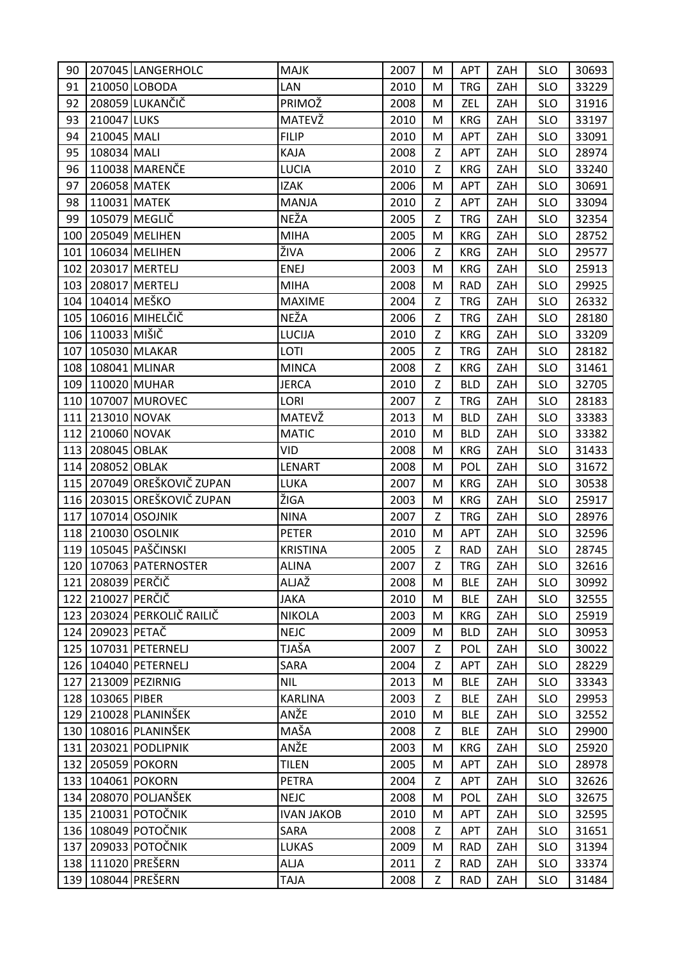| 90  |                       | 207045 LANGERHOLC            | <b>MAJK</b>       | 2007 | M | APT        | ZAH | <b>SLO</b> | 30693 |
|-----|-----------------------|------------------------------|-------------------|------|---|------------|-----|------------|-------|
| 91  |                       | 210050 LOBODA                | <b>LAN</b>        | 2010 | M | <b>TRG</b> | ZAH | <b>SLO</b> | 33229 |
| 92  |                       | 208059 LUKANČIČ              | PRIMOŽ            | 2008 | M | ZEL        | ZAH | <b>SLO</b> | 31916 |
| 93  | 210047 LUKS           |                              | MATEVŽ            | 2010 | M | <b>KRG</b> | ZAH | <b>SLO</b> | 33197 |
| 94  | 210045 MALI           |                              | <b>FILIP</b>      | 2010 | M | APT        | ZAH | <b>SLO</b> | 33091 |
| 95  | 108034 MALI           |                              | KAJA              | 2008 | Z | APT        | ZAH | <b>SLO</b> | 28974 |
| 96  |                       | 110038 MARENČE               | <b>LUCIA</b>      | 2010 | Z | <b>KRG</b> | ZAH | <b>SLO</b> | 33240 |
| 97  | 206058 MATEK          |                              | <b>IZAK</b>       | 2006 | M | APT        | ZAH | <b>SLO</b> | 30691 |
| 98  | 110031 MATEK          |                              | <b>MANJA</b>      | 2010 | Z | <b>APT</b> | ZAH | <b>SLO</b> | 33094 |
| 99  |                       | 105079 MEGLIČ                | NEŽA              | 2005 | Z | <b>TRG</b> | ZAH | <b>SLO</b> | 32354 |
|     |                       | 100 205049 MELIHEN           | <b>MIHA</b>       | 2005 | M | <b>KRG</b> | ZAH | <b>SLO</b> | 28752 |
| 101 |                       | 106034 MELIHEN               | ŽIVA              | 2006 | Z | <b>KRG</b> | ZAH | <b>SLO</b> | 29577 |
| 102 |                       | 203017 MERTELJ               | <b>ENEJ</b>       | 2003 | M | <b>KRG</b> | ZAH | <b>SLO</b> | 25913 |
|     |                       | 103 208017 MERTELJ           | <b>MIHA</b>       | 2008 | M | <b>RAD</b> | ZAH | <b>SLO</b> | 29925 |
|     | 104 104014 MEŠKO      |                              | <b>MAXIME</b>     | 2004 | Z | <b>TRG</b> | ZAH | <b>SLO</b> | 26332 |
|     |                       | 105 106016 MIHELČIČ          | NEŽA              | 2006 | Z | <b>TRG</b> | ZAH | <b>SLO</b> | 28180 |
|     | 106   110033 MIŠIČ    |                              | LUCIJA            | 2010 | Z | <b>KRG</b> | ZAH | <b>SLO</b> | 33209 |
|     |                       | 107   105030 MLAKAR          | LOTI              | 2005 | Z | <b>TRG</b> | ZAH | <b>SLO</b> | 28182 |
|     |                       | 108 108041 MLINAR            | <b>MINCA</b>      | 2008 | Z | <b>KRG</b> | ZAH | <b>SLO</b> | 31461 |
|     |                       | 109 110020 MUHAR             | <b>JERCA</b>      | 2010 | Z | <b>BLD</b> | ZAH | <b>SLO</b> | 32705 |
|     |                       | 110 107007 MUROVEC           | LORI              | 2007 | Z | <b>TRG</b> | ZAH | <b>SLO</b> | 28183 |
| 111 | 213010 NOVAK          |                              | MATEVŽ            | 2013 | M | <b>BLD</b> | ZAH | <b>SLO</b> | 33383 |
|     | 112 210060 NOVAK      |                              | <b>MATIC</b>      | 2010 | M | <b>BLD</b> | ZAH | <b>SLO</b> | 33382 |
|     | 113 208045 OBLAK      |                              | <b>VID</b>        | 2008 | M | <b>KRG</b> | ZAH | <b>SLO</b> | 31433 |
|     | 114 208052 OBLAK      |                              | LENART            | 2008 | M | <b>POL</b> | ZAH | <b>SLO</b> | 31672 |
|     |                       | 115 207049 OREŠKOVIČ ZUPAN   | LUKA              | 2007 | M | <b>KRG</b> | ZAH | <b>SLO</b> | 30538 |
|     |                       | 116   203015 OREŠKOVIČ ZUPAN | ŽIGA              | 2003 | M | <b>KRG</b> | ZAH | <b>SLO</b> | 25917 |
| 117 |                       | 107014 OSOJNIK               | <b>NINA</b>       | 2007 | Z | <b>TRG</b> | ZAH | <b>SLO</b> | 28976 |
|     |                       | 118 210030 OSOLNIK           | PETER             | 2010 | M | APT        | ZAH | <b>SLO</b> | 32596 |
|     |                       | 119   105045   PAŠČINSKI     | <b>KRISTINA</b>   | 2005 | Z | <b>RAD</b> | ZAH | <b>SLO</b> | 28745 |
|     |                       | 120   107063   PATERNOSTER   | <b>ALINA</b>      | 2007 | Z | <b>TRG</b> | ZAH | <b>SLO</b> | 32616 |
|     | 121   208039   PERČIČ |                              | ALJAŽ             | 2008 | М | <b>BLE</b> | ZAH | <b>SLO</b> | 30992 |
|     | 122 210027 PERČIČ     |                              | <b>JAKA</b>       | 2010 | M | <b>BLE</b> | ZAH | <b>SLO</b> | 32555 |
|     |                       | 123 203024 PERKOLIČ RAILIČ   | <b>NIKOLA</b>     | 2003 | M | <b>KRG</b> | ZAH | <b>SLO</b> | 25919 |
|     | 124 209023 PETAČ      |                              | <b>NEJC</b>       | 2009 | M | <b>BLD</b> | ZAH | <b>SLO</b> | 30953 |
|     |                       | 125   107031   PETERNELJ     | TJAŠA             | 2007 | Z | POL        | ZAH | <b>SLO</b> | 30022 |
|     |                       | 126   104040   PETERNELJ     | SARA              | 2004 | Z | <b>APT</b> | ZAH | <b>SLO</b> | 28229 |
|     |                       | 127 213009 PEZIRNIG          | <b>NIL</b>        | 2013 | M | <b>BLE</b> | ZAH | <b>SLO</b> | 33343 |
|     | 128 103065 PIBER      |                              | <b>KARLINA</b>    | 2003 | Z | <b>BLE</b> | ZAH | <b>SLO</b> | 29953 |
|     |                       | 129 210028 PLANINŠEK         | ANŽE              | 2010 | M | <b>BLE</b> | ZAH | <b>SLO</b> | 32552 |
|     |                       | 130 108016 PLANINŠEK         | MAŠA              | 2008 | Z | <b>BLE</b> | ZAH | <b>SLO</b> | 29900 |
|     |                       | 131 203021 PODLIPNIK         | ANŽE              | 2003 | M | <b>KRG</b> | ZAH | <b>SLO</b> | 25920 |
|     |                       | 132 205059 POKORN            | <b>TILEN</b>      | 2005 | M | <b>APT</b> | ZAH | <b>SLO</b> | 28978 |
|     |                       | 133 104061 POKORN            | <b>PETRA</b>      | 2004 | Z | <b>APT</b> | ZAH | <b>SLO</b> | 32626 |
|     |                       | 134   208070 POLJANŠEK       | <b>NEJC</b>       | 2008 | M | POL        | ZAH | <b>SLO</b> | 32675 |
|     |                       | 135 210031 POTOČNIK          | <b>IVAN JAKOB</b> | 2010 | M | APT        | ZAH | <b>SLO</b> | 32595 |
|     |                       | 136 108049 POTOČNIK          | SARA              | 2008 | Z | APT        | ZAH | <b>SLO</b> | 31651 |
|     |                       | 137 209033 POTOČNIK          | <b>LUKAS</b>      | 2009 | M | <b>RAD</b> | ZAH | <b>SLO</b> | 31394 |
|     |                       | 138 111020 PREŠERN           | <b>ALJA</b>       | 2011 | Z | <b>RAD</b> | ZAH | <b>SLO</b> | 33374 |
|     |                       | 139   108044 PREŠERN         | <b>TAJA</b>       | 2008 | Z | <b>RAD</b> | ZAH | <b>SLO</b> | 31484 |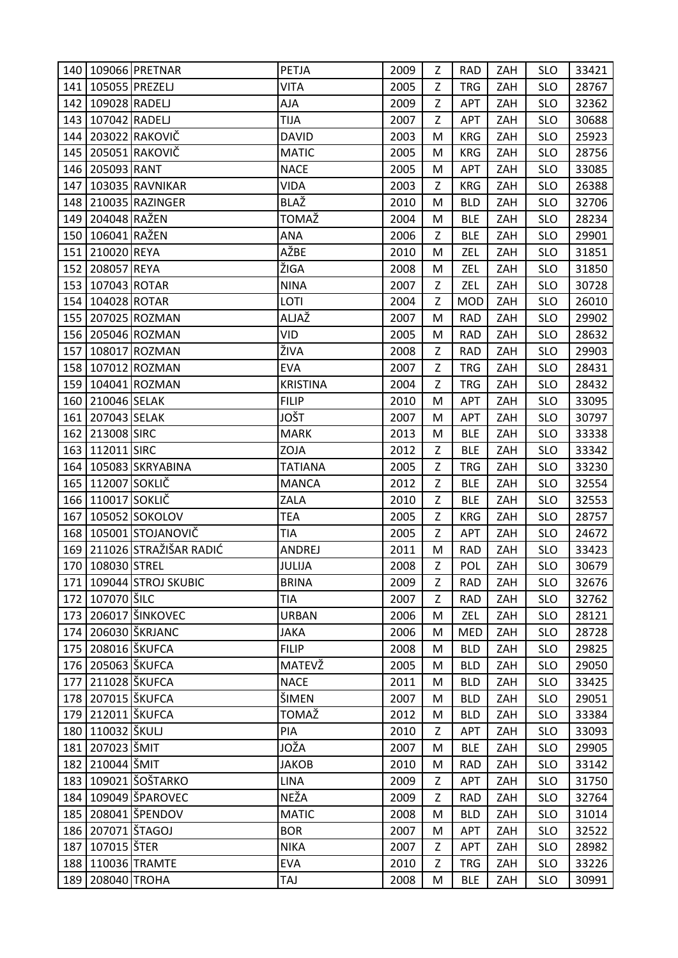|     |                       | 140 109066 PRETNAR         | PETJA           | 2009 | Z | <b>RAD</b> | ZAH | <b>SLO</b> | 33421 |
|-----|-----------------------|----------------------------|-----------------|------|---|------------|-----|------------|-------|
|     |                       | 141   105055   PREZELJ     | <b>VITA</b>     | 2005 | Z | <b>TRG</b> | ZAH | <b>SLO</b> | 28767 |
| 142 | 109028 RADELJ         |                            | AJA             | 2009 | Z | APT        | ZAH | <b>SLO</b> | 32362 |
|     | 143 107042 RADELJ     |                            | <b>TIJA</b>     | 2007 | Z | APT        | ZAH | <b>SLO</b> | 30688 |
|     |                       | 144 203022 RAKOVIČ         | <b>DAVID</b>    | 2003 | M | <b>KRG</b> | ZAH | <b>SLO</b> | 25923 |
|     |                       | 145 205051 RAKOVIČ         | <b>MATIC</b>    | 2005 | M | <b>KRG</b> | ZAH | <b>SLO</b> | 28756 |
|     | 146 205093 RANT       |                            | <b>NACE</b>     | 2005 | M | APT        | ZAH | <b>SLO</b> | 33085 |
|     |                       | 147   103035   RAVNIKAR    | <b>VIDA</b>     | 2003 | Z | <b>KRG</b> | ZAH | <b>SLO</b> | 26388 |
|     |                       | 148 210035 RAZINGER        | BLAŽ            | 2010 | M | <b>BLD</b> | ZAH | <b>SLO</b> | 32706 |
|     | 149 204048 RAŽEN      |                            | TOMAŽ           | 2004 | M | <b>BLE</b> | ZAH | <b>SLO</b> | 28234 |
|     | 150 106041 RAŽEN      |                            | <b>ANA</b>      | 2006 | Z | <b>BLE</b> | ZAH | <b>SLO</b> | 29901 |
| 151 | 210020 REYA           |                            | AŽBE            | 2010 | M | ZEL        | ZAH | <b>SLO</b> | 31851 |
|     | 152 208057 REYA       |                            | ŽIGA            | 2008 | M | ZEL        | ZAH | <b>SLO</b> | 31850 |
|     | 153 107043 ROTAR      |                            | <b>NINA</b>     | 2007 | Z | ZEL        | ZAH | <b>SLO</b> | 30728 |
|     | 154 104028 ROTAR      |                            | LOTI            | 2004 | Z | <b>MOD</b> | ZAH | <b>SLO</b> | 26010 |
|     |                       | 155 207025 ROZMAN          | ALJAŽ           | 2007 | M | <b>RAD</b> | ZAH | <b>SLO</b> | 29902 |
|     |                       | 156 205046 ROZMAN          | VID             | 2005 | M | <b>RAD</b> | ZAH | <b>SLO</b> | 28632 |
|     |                       | 157 108017 ROZMAN          | ŽIVA            | 2008 | Z | <b>RAD</b> | ZAH | <b>SLO</b> | 29903 |
|     |                       | 158 107012 ROZMAN          | <b>EVA</b>      | 2007 | Z | <b>TRG</b> | ZAH | <b>SLO</b> | 28431 |
|     |                       | 159 104041 ROZMAN          | <b>KRISTINA</b> | 2004 | Z | <b>TRG</b> | ZAH | <b>SLO</b> | 28432 |
|     | 160 210046 SELAK      |                            | <b>FILIP</b>    | 2010 | M | APT        | ZAH | <b>SLO</b> | 33095 |
|     | 161 207043 SELAK      |                            | JOŠT            | 2007 | M | APT        | ZAH | <b>SLO</b> | 30797 |
|     | 162 213008 SIRC       |                            | <b>MARK</b>     | 2013 | M | <b>BLE</b> | ZAH | <b>SLO</b> | 33338 |
|     | 163 112011 SIRC       |                            | ZOJA            | 2012 | Z | <b>BLE</b> | ZAH | <b>SLO</b> | 33342 |
|     |                       | 164   105083   SKRYABINA   | <b>TATIANA</b>  | 2005 | Z | <b>TRG</b> | ZAH | <b>SLO</b> | 33230 |
|     | 165 112007 SOKLIČ     |                            | <b>MANCA</b>    | 2012 | Z | <b>BLE</b> | ZAH | <b>SLO</b> | 32554 |
|     | 166 110017 SOKLIČ     |                            | ZALA            | 2010 | Z | <b>BLE</b> | ZAH | <b>SLO</b> | 32553 |
| 167 |                       | 105052 SOKOLOV             | <b>TEA</b>      | 2005 | Z | <b>KRG</b> | ZAH | <b>SLO</b> | 28757 |
|     |                       | 168 105001 STOJANOVIČ      | <b>TIA</b>      | 2005 | Z | APT        | ZAH | <b>SLO</b> | 24672 |
|     |                       | 169 211026 STRAŽIŠAR RADIĆ | ANDREJ          | 2011 | M | <b>RAD</b> | ZAH | <b>SLO</b> | 33423 |
|     | 170 108030 STREL      |                            | JULIJA          | 2008 | Z | POL        | ZAH | <b>SLO</b> | 30679 |
|     |                       | 171 109044 STROJ SKUBIC    | <b>BRINA</b>    | 2009 | Z | <b>RAD</b> | ZAH | <b>SLO</b> | 32676 |
|     | 172 107070 ŠILC       |                            | <b>TIA</b>      | 2007 | Z | <b>RAD</b> | ZAH | <b>SLO</b> | 32762 |
|     |                       | 173 206017 ŠINKOVEC        | <b>URBAN</b>    | 2006 | M | ZEL        | ZAH | <b>SLO</b> | 28121 |
|     |                       | 174 206030 ŠKRJANC         | <b>JAKA</b>     | 2006 | M | <b>MED</b> | ZAH | <b>SLO</b> | 28728 |
|     | 175 208016 ŠKUFCA     |                            | <b>FILIP</b>    | 2008 | M | <b>BLD</b> | ZAH | <b>SLO</b> | 29825 |
|     | 176   205063   ŠKUFCA |                            | MATEVŽ          | 2005 | M | <b>BLD</b> | ZAH | <b>SLO</b> | 29050 |
| 177 | 211028 ŠKUFCA         |                            | <b>NACE</b>     | 2011 | M | <b>BLD</b> | ZAH | <b>SLO</b> | 33425 |
|     | 178 207015 ŠKUFCA     |                            | ŠIMEN           | 2007 | M | <b>BLD</b> | ZAH | <b>SLO</b> | 29051 |
|     | 179 212011 ŠKUFCA     |                            | <b>TOMAŽ</b>    | 2012 | M | <b>BLD</b> | ZAH | <b>SLO</b> | 33384 |
|     | 180   110032 ŠKULJ    |                            | PIA             | 2010 | Z | APT        | ZAH | <b>SLO</b> | 33093 |
|     | 181 207023 ŠMIT       |                            | JOŽA            | 2007 | M | <b>BLE</b> | ZAH | <b>SLO</b> | 29905 |
|     | 182 210044 ŠMIT       |                            | <b>JAKOB</b>    | 2010 | M | <b>RAD</b> | ZAH | <b>SLO</b> | 33142 |
|     |                       | 183   109021 SOŠTARKO      | <b>LINA</b>     | 2009 | Z | <b>APT</b> | ZAH | <b>SLO</b> | 31750 |
|     |                       | 184 109049 ŠPAROVEC        | NEŽA            | 2009 | Z | <b>RAD</b> | ZAH | <b>SLO</b> | 32764 |
|     |                       | 185   208041   ŠPENDOV     | <b>MATIC</b>    | 2008 | M | <b>BLD</b> | ZAH | <b>SLO</b> | 31014 |
|     | 186   207071   ŠTAGOJ |                            | <b>BOR</b>      | 2007 | M | APT        | ZAH | <b>SLO</b> | 32522 |
| 187 | 107015 ŠTER           |                            | <b>NIKA</b>     | 2007 | Z | APT        | ZAH | <b>SLO</b> | 28982 |
|     |                       | 188 110036 TRAMTE          | <b>EVA</b>      | 2010 | Z | <b>TRG</b> | ZAH | <b>SLO</b> | 33226 |
|     | 189 208040 TROHA      |                            | TAJ             | 2008 | M | <b>BLE</b> | ZAH | <b>SLO</b> | 30991 |